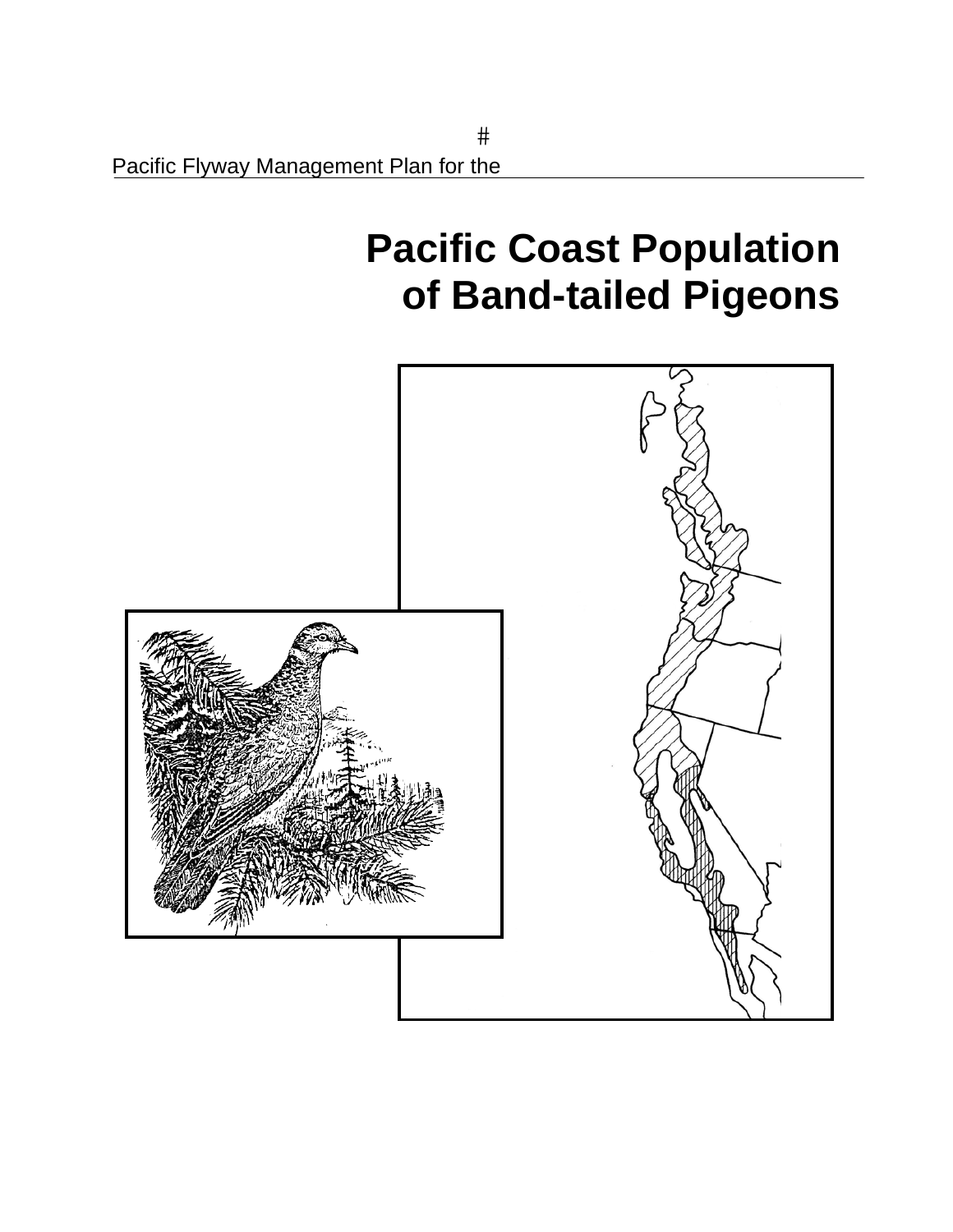# **Pacific Coast Population of Band-tailed Pigeons**

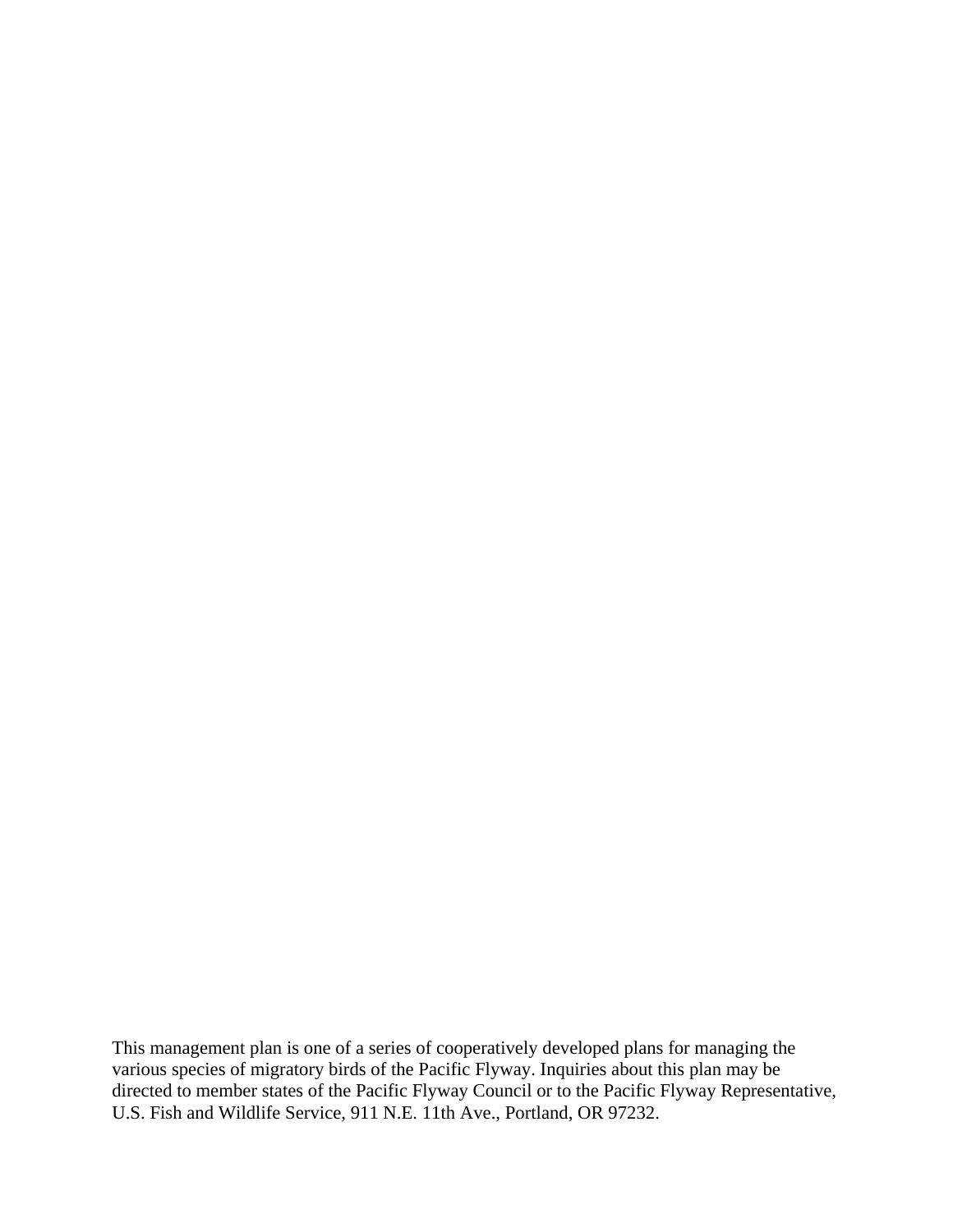This management plan is one of a series of cooperatively developed plans for managing the various species of migratory birds of the Pacific Flyway. Inquiries about this plan may be directed to member states of the Pacific Flyway Council or to the Pacific Flyway Representative, U.S. Fish and Wildlife Service, 911 N.E. 11th Ave., Portland, OR 97232.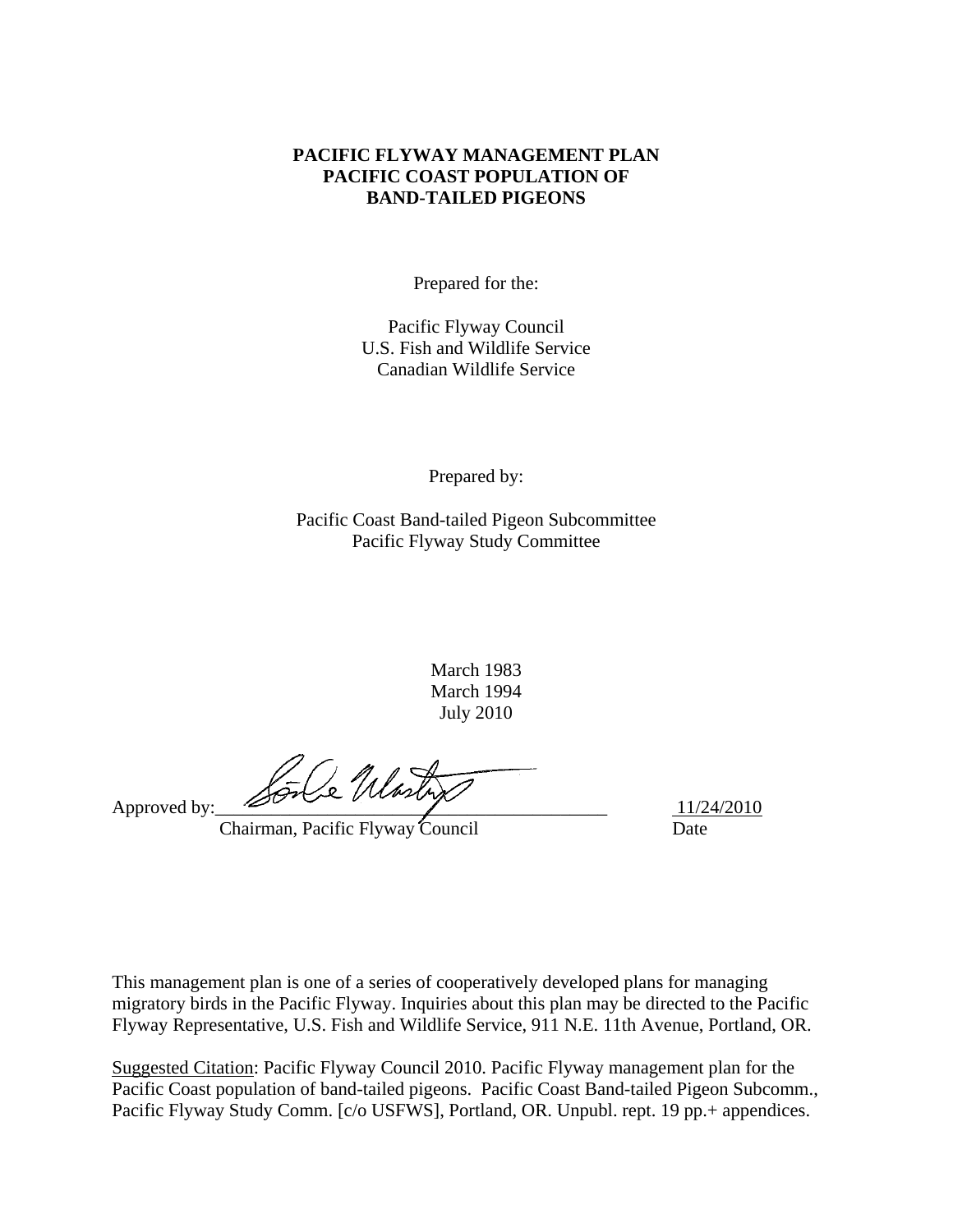#### **PACIFIC FLYWAY MANAGEMENT PLAN PACIFIC COAST POPULATION OF BAND-TAILED PIGEONS**

Prepared for the:

Pacific Flyway Council U.S. Fish and Wildlife Service Canadian Wildlife Service

Prepared by:

Pacific Coast Band-tailed Pigeon Subcommittee Pacific Flyway Study Committee

> March 1983 March 1994 July 2010

Approved by:  $\sqrt{G}\sqrt{2}\sqrt{M\omega\omega}$ 

Chairman, Pacific Flyway Council Date

This management plan is one of a series of cooperatively developed plans for managing migratory birds in the Pacific Flyway. Inquiries about this plan may be directed to the Pacific Flyway Representative, U.S. Fish and Wildlife Service, 911 N.E. 11th Avenue, Portland, OR.

Suggested Citation: Pacific Flyway Council 2010. Pacific Flyway management plan for the Pacific Coast population of band-tailed pigeons. Pacific Coast Band-tailed Pigeon Subcomm., Pacific Flyway Study Comm. [c/o USFWS], Portland, OR. Unpubl. rept. 19 pp.+ appendices.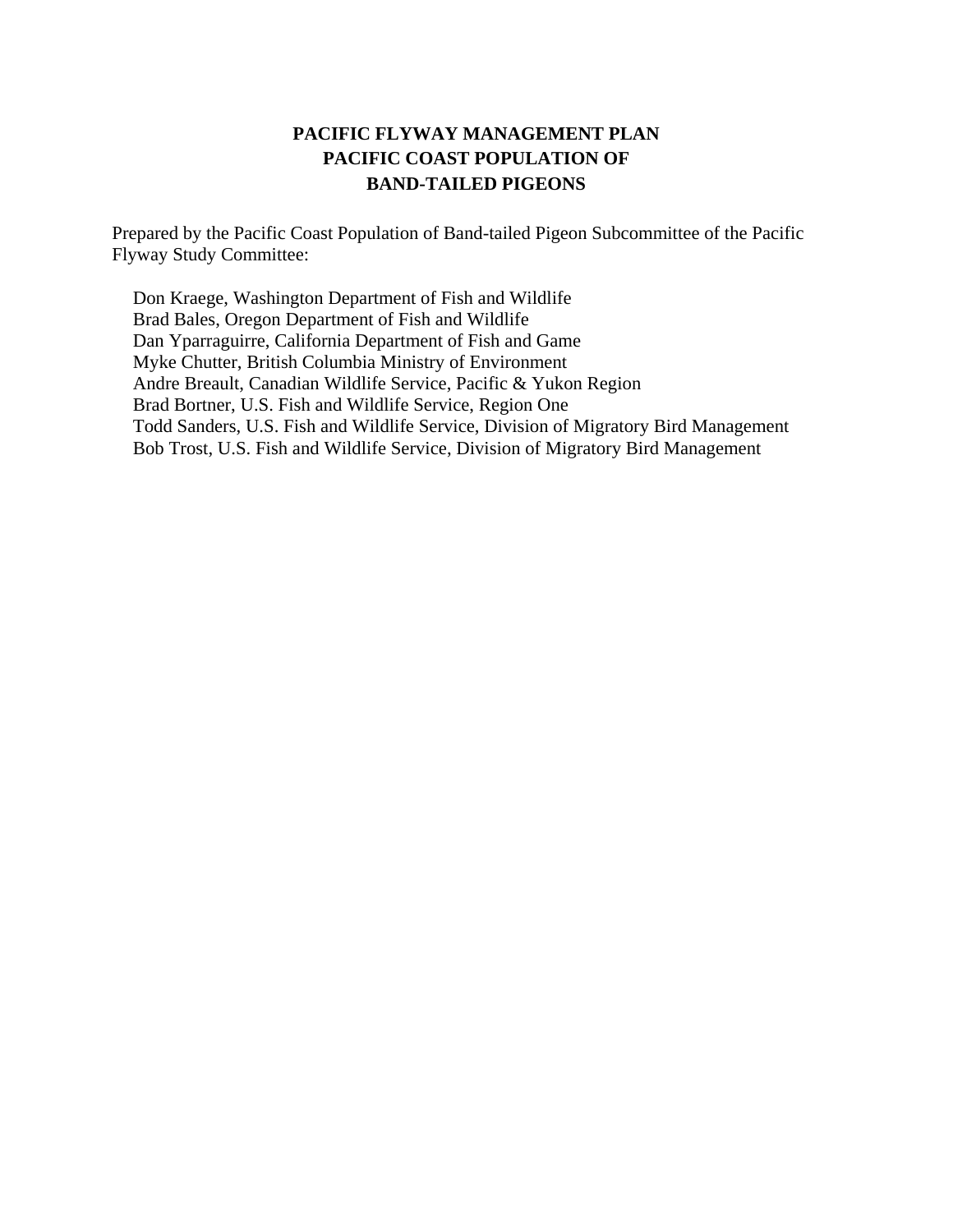## **PACIFIC FLYWAY MANAGEMENT PLAN PACIFIC COAST POPULATION OF BAND-TAILED PIGEONS**

Prepared by the Pacific Coast Population of Band-tailed Pigeon Subcommittee of the Pacific Flyway Study Committee:

Don Kraege, Washington Department of Fish and Wildlife Brad Bales, Oregon Department of Fish and Wildlife Dan Yparraguirre, California Department of Fish and Game Myke Chutter, British Columbia Ministry of Environment Andre Breault, Canadian Wildlife Service, Pacific & Yukon Region Brad Bortner, U.S. Fish and Wildlife Service, Region One Todd Sanders, U.S. Fish and Wildlife Service, Division of Migratory Bird Management Bob Trost, U.S. Fish and Wildlife Service, Division of Migratory Bird Management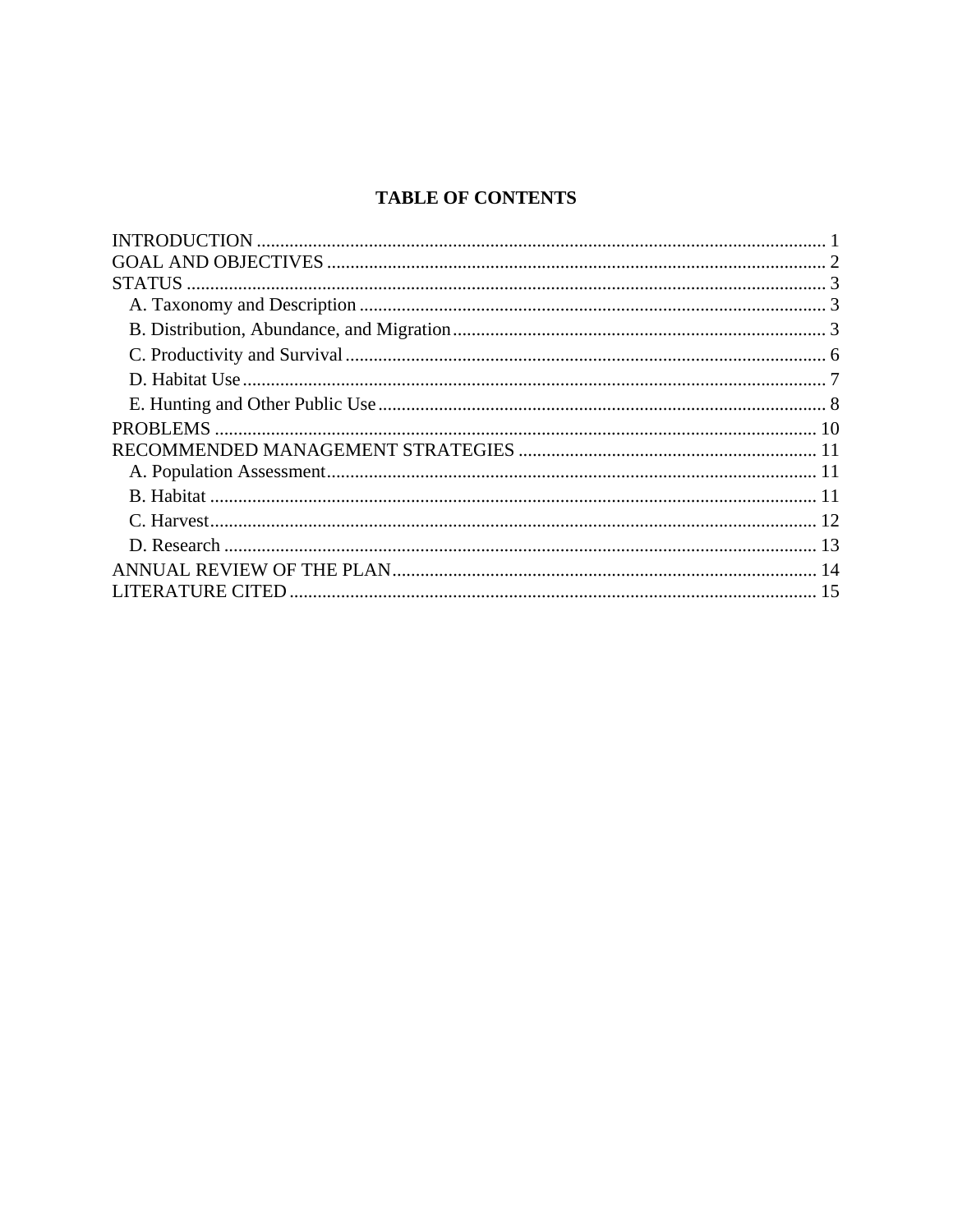## **TABLE OF CONTENTS**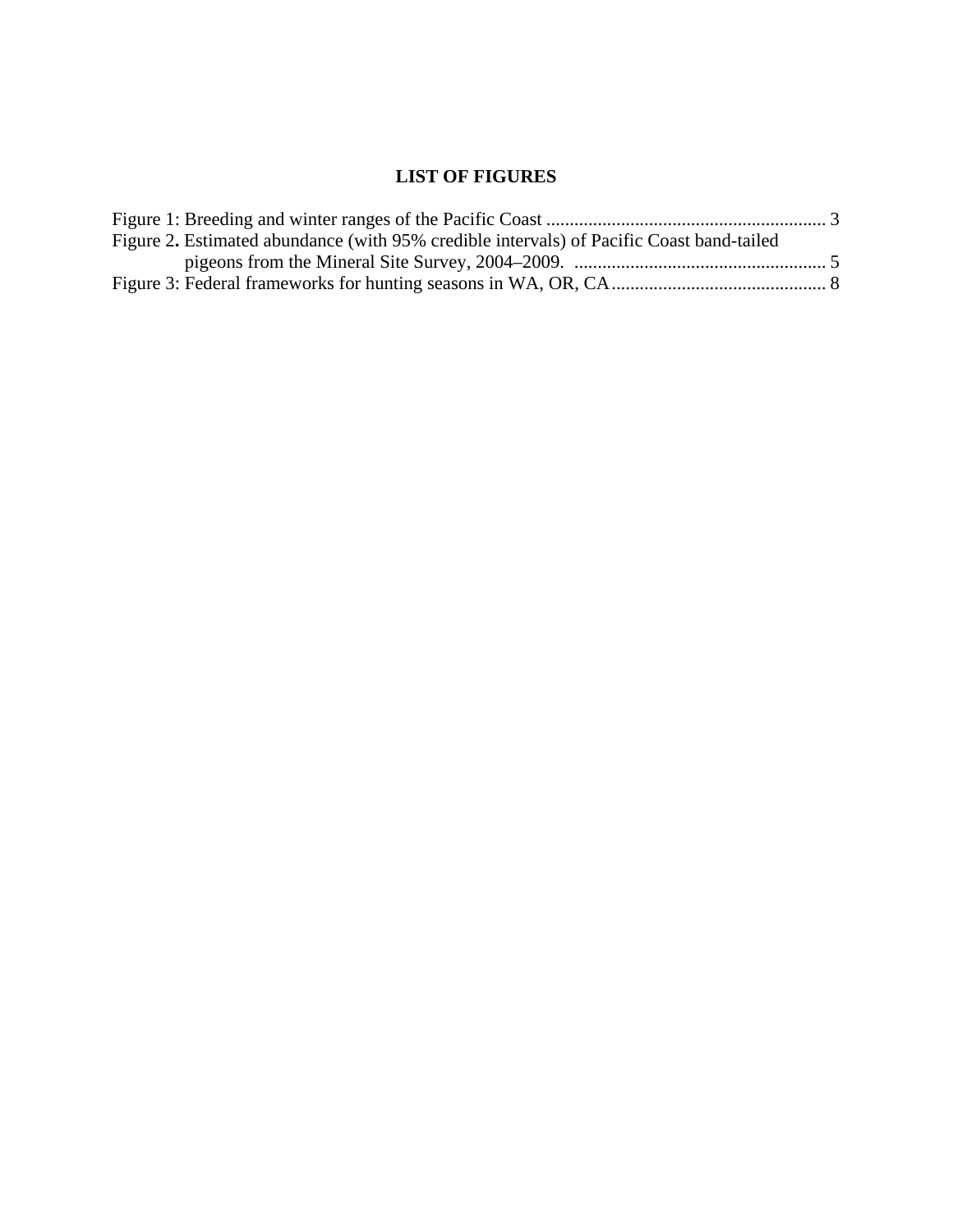## **LIST OF FIGURES**

| Figure 2. Estimated abundance (with 95% credible intervals) of Pacific Coast band-tailed |  |
|------------------------------------------------------------------------------------------|--|
|                                                                                          |  |
|                                                                                          |  |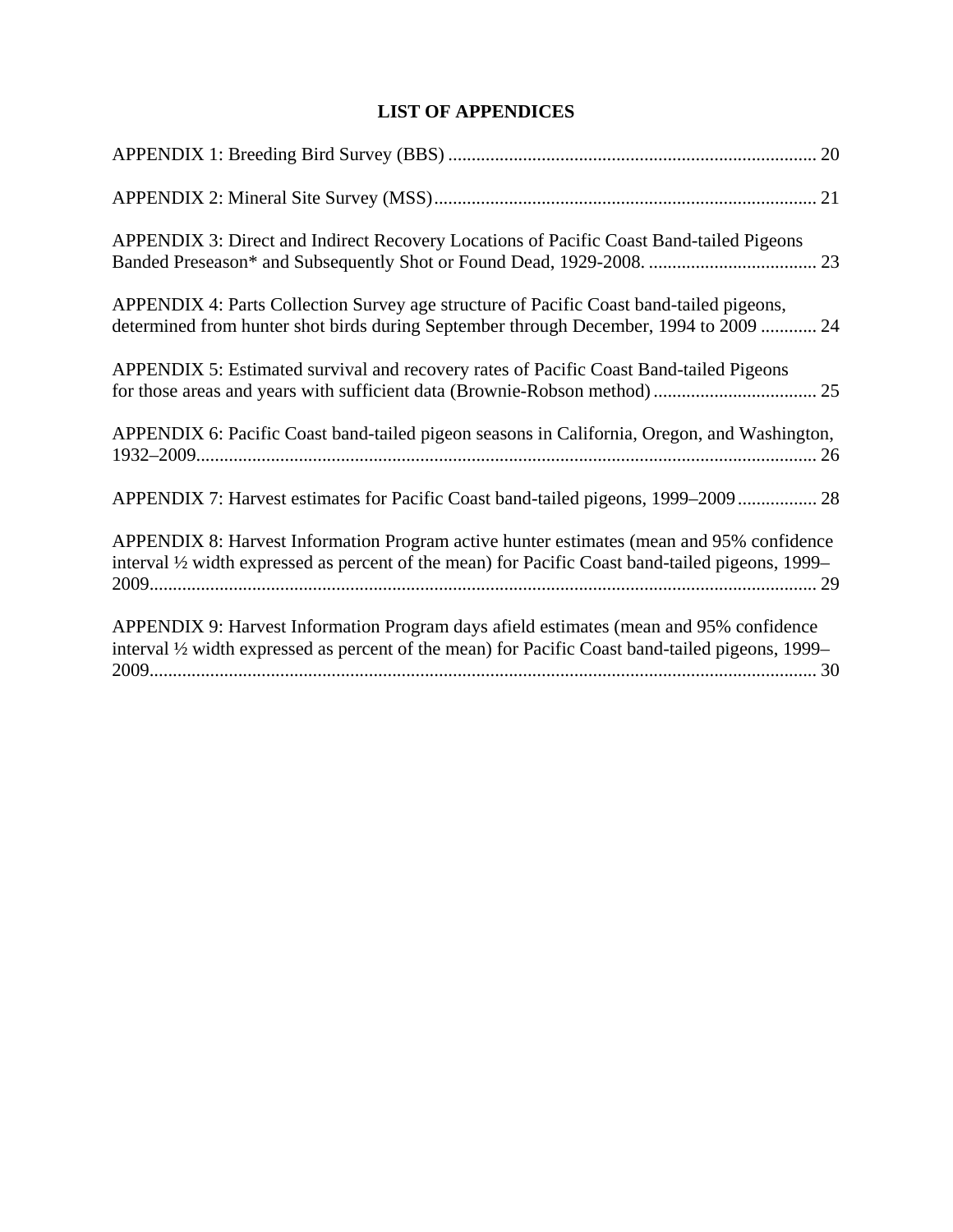## **LIST OF APPENDICES**

| APPENDIX 3: Direct and Indirect Recovery Locations of Pacific Coast Band-tailed Pigeons                                                                                                       |
|-----------------------------------------------------------------------------------------------------------------------------------------------------------------------------------------------|
| APPENDIX 4: Parts Collection Survey age structure of Pacific Coast band-tailed pigeons,<br>determined from hunter shot birds during September through December, 1994 to 2009  24              |
| APPENDIX 5: Estimated survival and recovery rates of Pacific Coast Band-tailed Pigeons                                                                                                        |
| APPENDIX 6: Pacific Coast band-tailed pigeon seasons in California, Oregon, and Washington,                                                                                                   |
| APPENDIX 7: Harvest estimates for Pacific Coast band-tailed pigeons, 1999–2009 28                                                                                                             |
| APPENDIX 8: Harvest Information Program active hunter estimates (mean and 95% confidence<br>interval 1/2 width expressed as percent of the mean) for Pacific Coast band-tailed pigeons, 1999– |
| APPENDIX 9: Harvest Information Program days afield estimates (mean and 95% confidence<br>interval 1/2 width expressed as percent of the mean) for Pacific Coast band-tailed pigeons, 1999–   |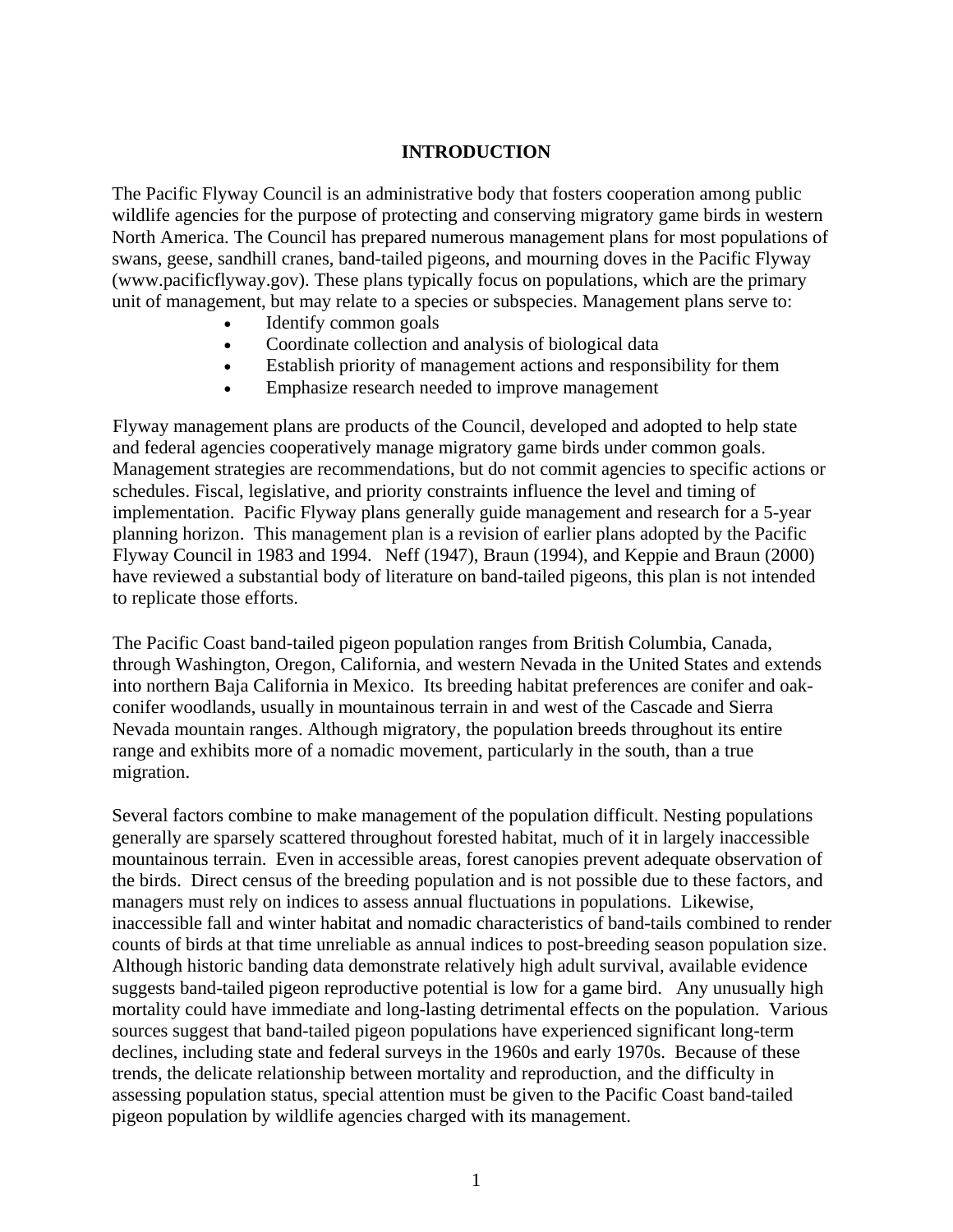#### **INTRODUCTION**

The Pacific Flyway Council is an administrative body that fosters cooperation among public wildlife agencies for the purpose of protecting and conserving migratory game birds in western North America. The Council has prepared numerous management plans for most populations of swans, geese, sandhill cranes, band-tailed pigeons, and mourning doves in the Pacific Flyway (www.pacificflyway.gov). These plans typically focus on populations, which are the primary unit of management, but may relate to a species or subspecies. Management plans serve to:

- Identify common goals
- Coordinate collection and analysis of biological data
- Establish priority of management actions and responsibility for them
- Emphasize research needed to improve management

Flyway management plans are products of the Council, developed and adopted to help state and federal agencies cooperatively manage migratory game birds under common goals. Management strategies are recommendations, but do not commit agencies to specific actions or schedules. Fiscal, legislative, and priority constraints influence the level and timing of implementation. Pacific Flyway plans generally guide management and research for a 5-year planning horizon. This management plan is a revision of earlier plans adopted by the Pacific Flyway Council in 1983 and 1994. Neff (1947), Braun (1994), and Keppie and Braun (2000) have reviewed a substantial body of literature on band-tailed pigeons, this plan is not intended to replicate those efforts.

The Pacific Coast band-tailed pigeon population ranges from British Columbia, Canada, through Washington, Oregon, California, and western Nevada in the United States and extends into northern Baja California in Mexico. Its breeding habitat preferences are conifer and oakconifer woodlands, usually in mountainous terrain in and west of the Cascade and Sierra Nevada mountain ranges. Although migratory, the population breeds throughout its entire range and exhibits more of a nomadic movement, particularly in the south, than a true migration.

Several factors combine to make management of the population difficult. Nesting populations generally are sparsely scattered throughout forested habitat, much of it in largely inaccessible mountainous terrain. Even in accessible areas, forest canopies prevent adequate observation of the birds. Direct census of the breeding population and is not possible due to these factors, and managers must rely on indices to assess annual fluctuations in populations. Likewise, inaccessible fall and winter habitat and nomadic characteristics of band-tails combined to render counts of birds at that time unreliable as annual indices to post-breeding season population size. Although historic banding data demonstrate relatively high adult survival, available evidence suggests band-tailed pigeon reproductive potential is low for a game bird. Any unusually high mortality could have immediate and long-lasting detrimental effects on the population. Various sources suggest that band-tailed pigeon populations have experienced significant long-term declines, including state and federal surveys in the 1960s and early 1970s. Because of these trends, the delicate relationship between mortality and reproduction, and the difficulty in assessing population status, special attention must be given to the Pacific Coast band-tailed pigeon population by wildlife agencies charged with its management.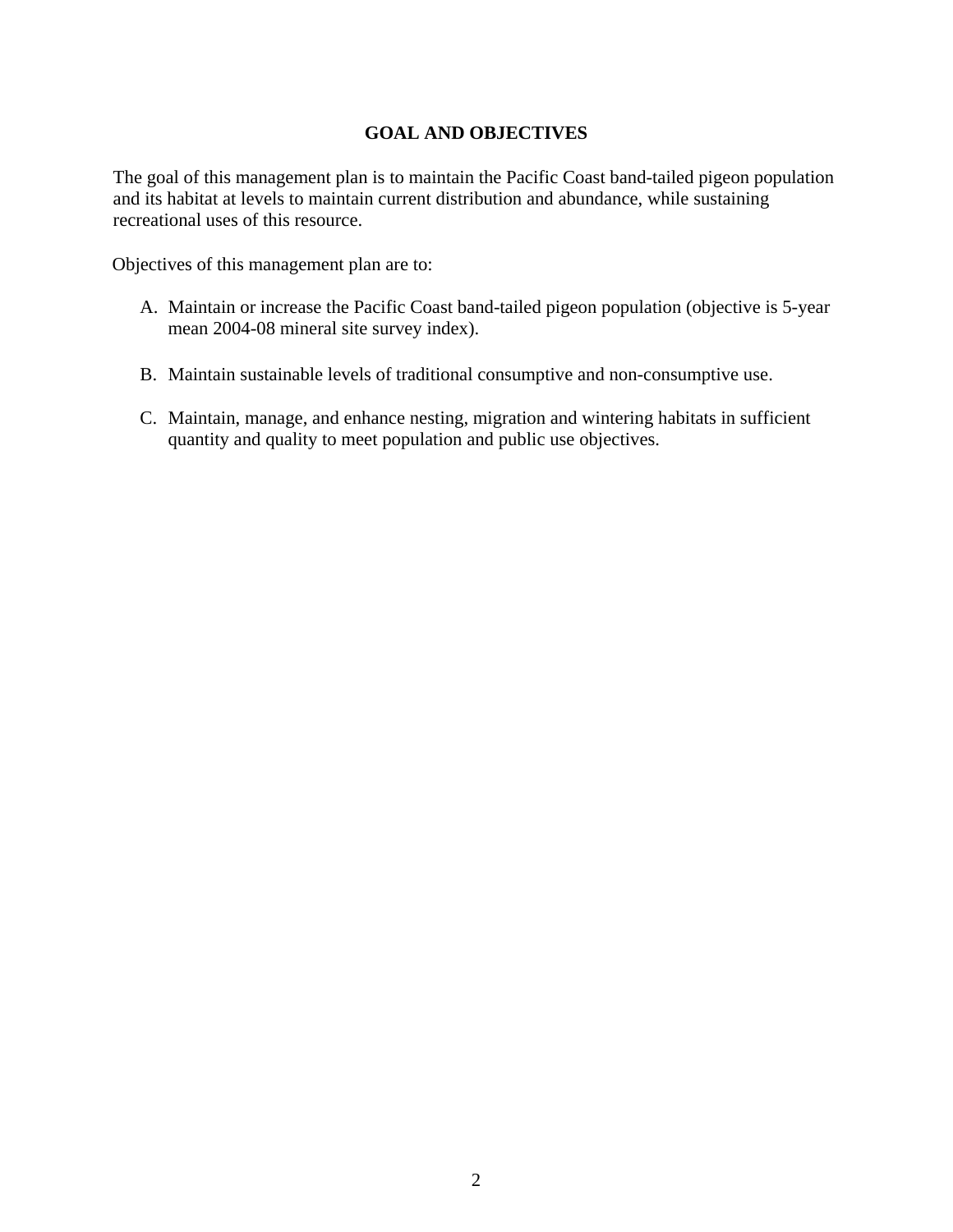#### **GOAL AND OBJECTIVES**

The goal of this management plan is to maintain the Pacific Coast band-tailed pigeon population and its habitat at levels to maintain current distribution and abundance, while sustaining recreational uses of this resource.

Objectives of this management plan are to:

- A. Maintain or increase the Pacific Coast band-tailed pigeon population (objective is 5-year mean 2004-08 mineral site survey index).
- B. Maintain sustainable levels of traditional consumptive and non-consumptive use.
- C. Maintain, manage, and enhance nesting, migration and wintering habitats in sufficient quantity and quality to meet population and public use objectives.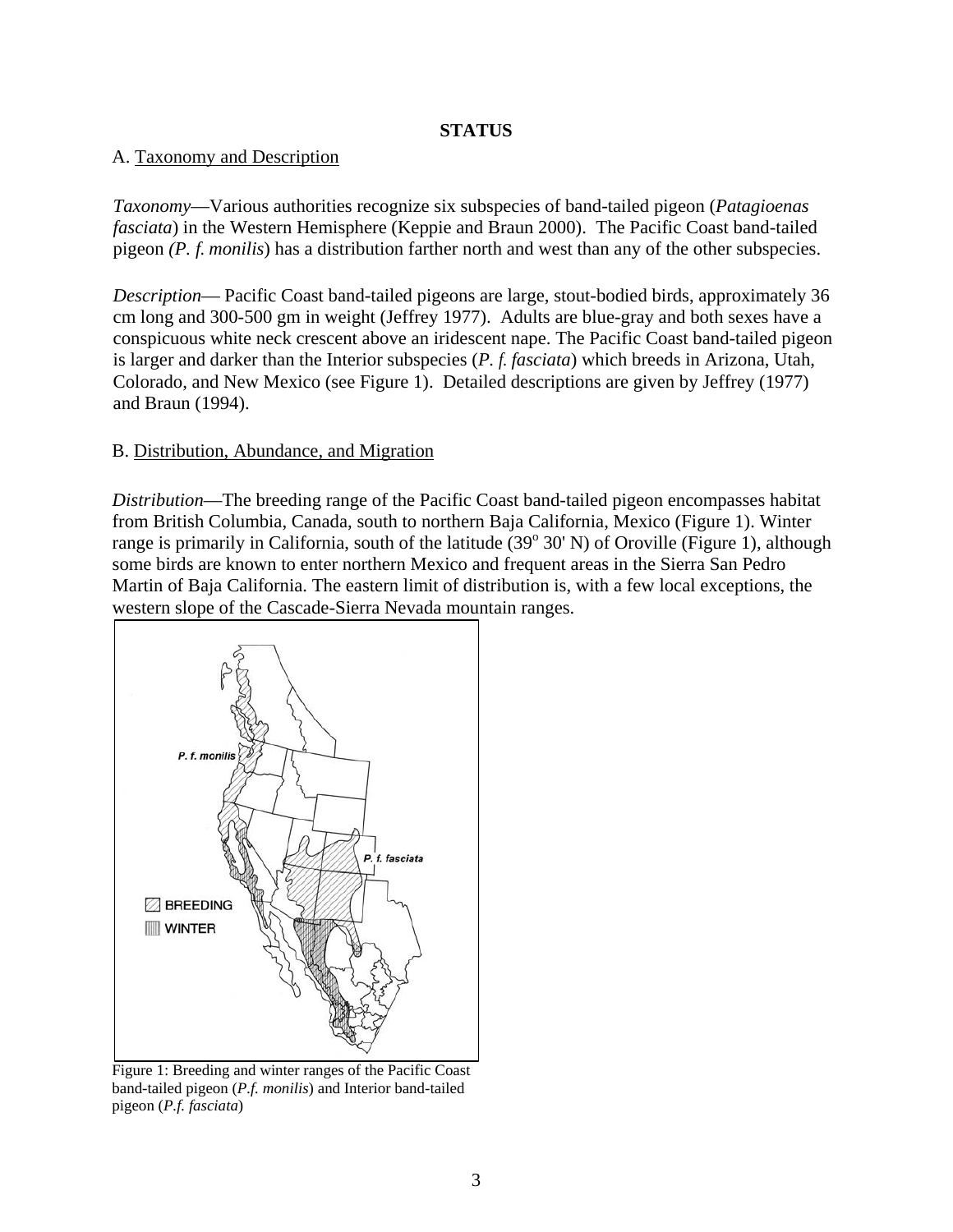#### **STATUS**

#### A. Taxonomy and Description

*Taxonomy*—Various authorities recognize six subspecies of band-tailed pigeon (*Patagioenas fasciata*) in the Western Hemisphere (Keppie and Braun 2000). The Pacific Coast band-tailed pigeon *(P. f. monilis*) has a distribution farther north and west than any of the other subspecies.

*Description*— Pacific Coast band-tailed pigeons are large, stout-bodied birds, approximately 36 cm long and 300-500 gm in weight (Jeffrey 1977). Adults are blue-gray and both sexes have a conspicuous white neck crescent above an iridescent nape. The Pacific Coast band-tailed pigeon is larger and darker than the Interior subspecies (*P. f. fasciata*) which breeds in Arizona, Utah, Colorado, and New Mexico (see Figure 1). Detailed descriptions are given by Jeffrey (1977) and Braun (1994).

#### B. Distribution, Abundance, and Migration

*Distribution*—The breeding range of the Pacific Coast band-tailed pigeon encompasses habitat from British Columbia, Canada, south to northern Baja California, Mexico (Figure 1). Winter range is primarily in California, south of the latitude  $(39^{\circ} 30' N)$  of Oroville (Figure 1), although some birds are known to enter northern Mexico and frequent areas in the Sierra San Pedro Martin of Baja California. The eastern limit of distribution is, with a few local exceptions, the western slope of the Cascade-Sierra Nevada mountain ranges.



Figure 1: Breeding and winter ranges of the Pacific Coast band-tailed pigeon (*P.f. monilis*) and Interior band-tailed pigeon (*P.f. fasciata*)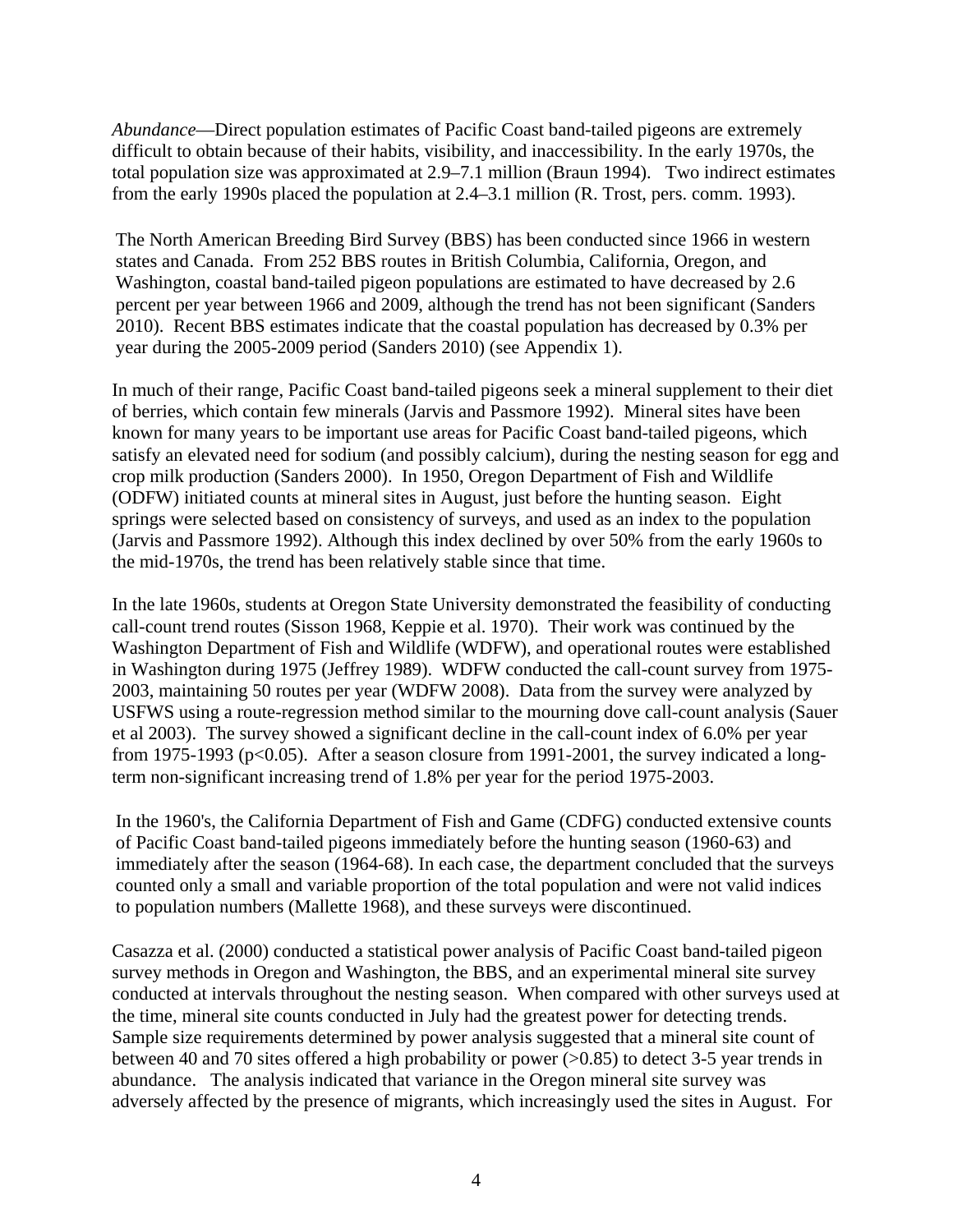*Abundance*—Direct population estimates of Pacific Coast band-tailed pigeons are extremely difficult to obtain because of their habits, visibility, and inaccessibility. In the early 1970s, the total population size was approximated at 2.9–7.1 million (Braun 1994). Two indirect estimates from the early 1990s placed the population at 2.4–3.1 million (R. Trost, pers. comm. 1993).

The North American Breeding Bird Survey (BBS) has been conducted since 1966 in western states and Canada. From 252 BBS routes in British Columbia, California, Oregon, and Washington, coastal band-tailed pigeon populations are estimated to have decreased by 2.6 percent per year between 1966 and 2009, although the trend has not been significant (Sanders 2010). Recent BBS estimates indicate that the coastal population has decreased by 0.3% per year during the 2005-2009 period (Sanders 2010) (see Appendix 1).

In much of their range, Pacific Coast band-tailed pigeons seek a mineral supplement to their diet of berries, which contain few minerals (Jarvis and Passmore 1992). Mineral sites have been known for many years to be important use areas for Pacific Coast band-tailed pigeons, which satisfy an elevated need for sodium (and possibly calcium), during the nesting season for egg and crop milk production (Sanders 2000). In 1950, Oregon Department of Fish and Wildlife (ODFW) initiated counts at mineral sites in August, just before the hunting season. Eight springs were selected based on consistency of surveys, and used as an index to the population (Jarvis and Passmore 1992). Although this index declined by over 50% from the early 1960s to the mid-1970s, the trend has been relatively stable since that time.

In the late 1960s, students at Oregon State University demonstrated the feasibility of conducting call-count trend routes (Sisson 1968, Keppie et al. 1970). Their work was continued by the Washington Department of Fish and Wildlife (WDFW), and operational routes were established in Washington during 1975 (Jeffrey 1989). WDFW conducted the call-count survey from 1975- 2003, maintaining 50 routes per year (WDFW 2008). Data from the survey were analyzed by USFWS using a route-regression method similar to the mourning dove call-count analysis (Sauer et al 2003). The survey showed a significant decline in the call-count index of 6.0% per year from 1975-1993 ( $p<0.05$ ). After a season closure from 1991-2001, the survey indicated a longterm non-significant increasing trend of 1.8% per year for the period 1975-2003.

In the 1960's, the California Department of Fish and Game (CDFG) conducted extensive counts of Pacific Coast band-tailed pigeons immediately before the hunting season (1960-63) and immediately after the season (1964-68). In each case, the department concluded that the surveys counted only a small and variable proportion of the total population and were not valid indices to population numbers (Mallette 1968), and these surveys were discontinued.

Casazza et al. (2000) conducted a statistical power analysis of Pacific Coast band-tailed pigeon survey methods in Oregon and Washington, the BBS, and an experimental mineral site survey conducted at intervals throughout the nesting season. When compared with other surveys used at the time, mineral site counts conducted in July had the greatest power for detecting trends. Sample size requirements determined by power analysis suggested that a mineral site count of between 40 and 70 sites offered a high probability or power (>0.85) to detect 3-5 year trends in abundance. The analysis indicated that variance in the Oregon mineral site survey was adversely affected by the presence of migrants, which increasingly used the sites in August. For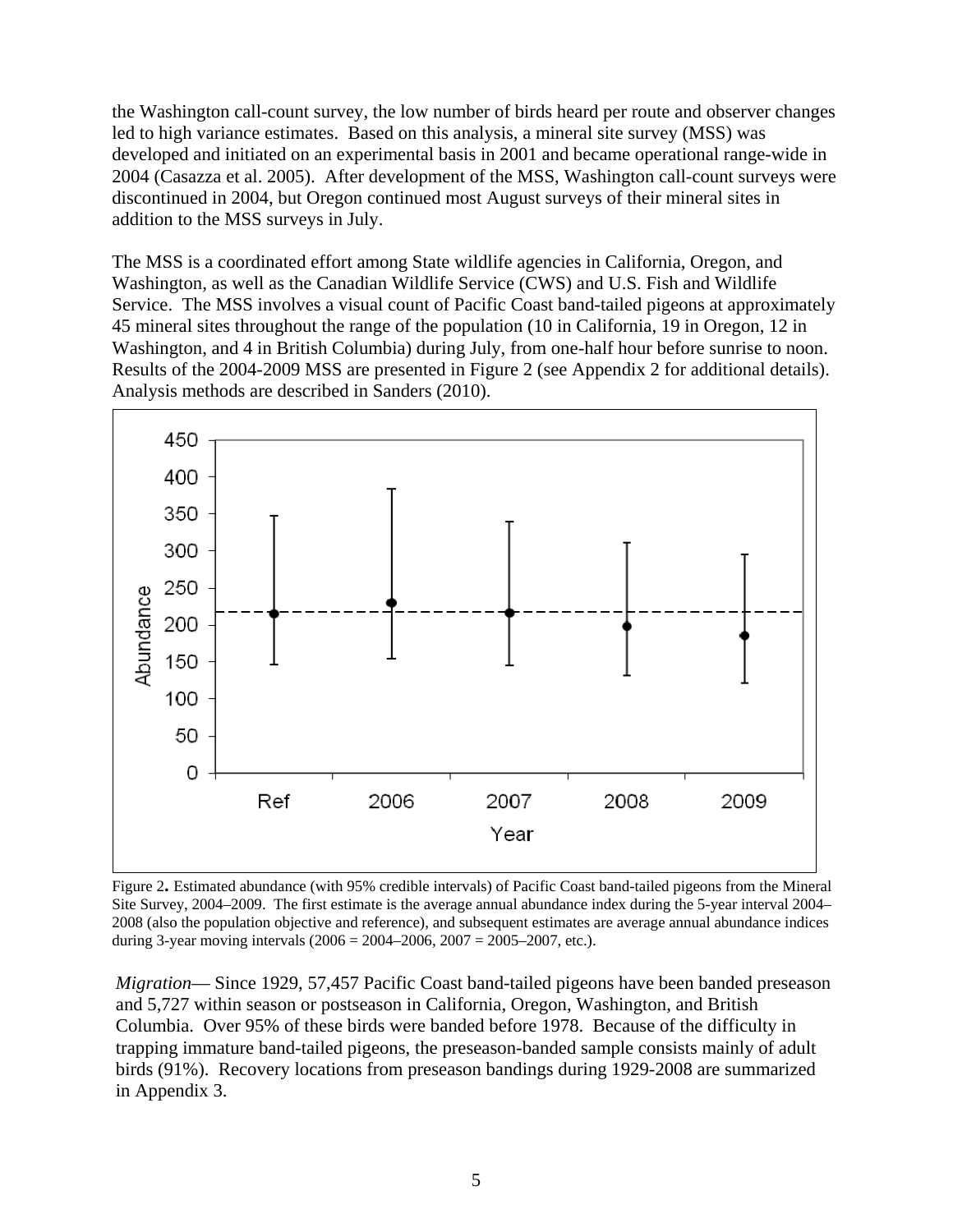the Washington call-count survey, the low number of birds heard per route and observer changes led to high variance estimates. Based on this analysis, a mineral site survey (MSS) was developed and initiated on an experimental basis in 2001 and became operational range-wide in 2004 (Casazza et al. 2005). After development of the MSS, Washington call-count surveys were discontinued in 2004, but Oregon continued most August surveys of their mineral sites in addition to the MSS surveys in July.

The MSS is a coordinated effort among State wildlife agencies in California, Oregon, and Washington, as well as the Canadian Wildlife Service (CWS) and U.S. Fish and Wildlife Service. The MSS involves a visual count of Pacific Coast band-tailed pigeons at approximately 45 mineral sites throughout the range of the population (10 in California, 19 in Oregon, 12 in Washington, and 4 in British Columbia) during July, from one-half hour before sunrise to noon. Results of the 2004-2009 MSS are presented in Figure 2 (see Appendix 2 for additional details). Analysis methods are described in Sanders (2010).



Figure 2**.** Estimated abundance (with 95% credible intervals) of Pacific Coast band-tailed pigeons from the Mineral Site Survey, 2004–2009. The first estimate is the average annual abundance index during the 5-year interval 2004– 2008 (also the population objective and reference), and subsequent estimates are average annual abundance indices during 3-year moving intervals  $(2006 = 2004 - 2006, 2007 = 2005 - 2007, \text{ etc.}).$ 

*Migration*— Since 1929, 57,457 Pacific Coast band-tailed pigeons have been banded preseason and 5,727 within season or postseason in California, Oregon, Washington, and British Columbia. Over 95% of these birds were banded before 1978. Because of the difficulty in trapping immature band-tailed pigeons, the preseason-banded sample consists mainly of adult birds (91%). Recovery locations from preseason bandings during 1929-2008 are summarized in Appendix 3.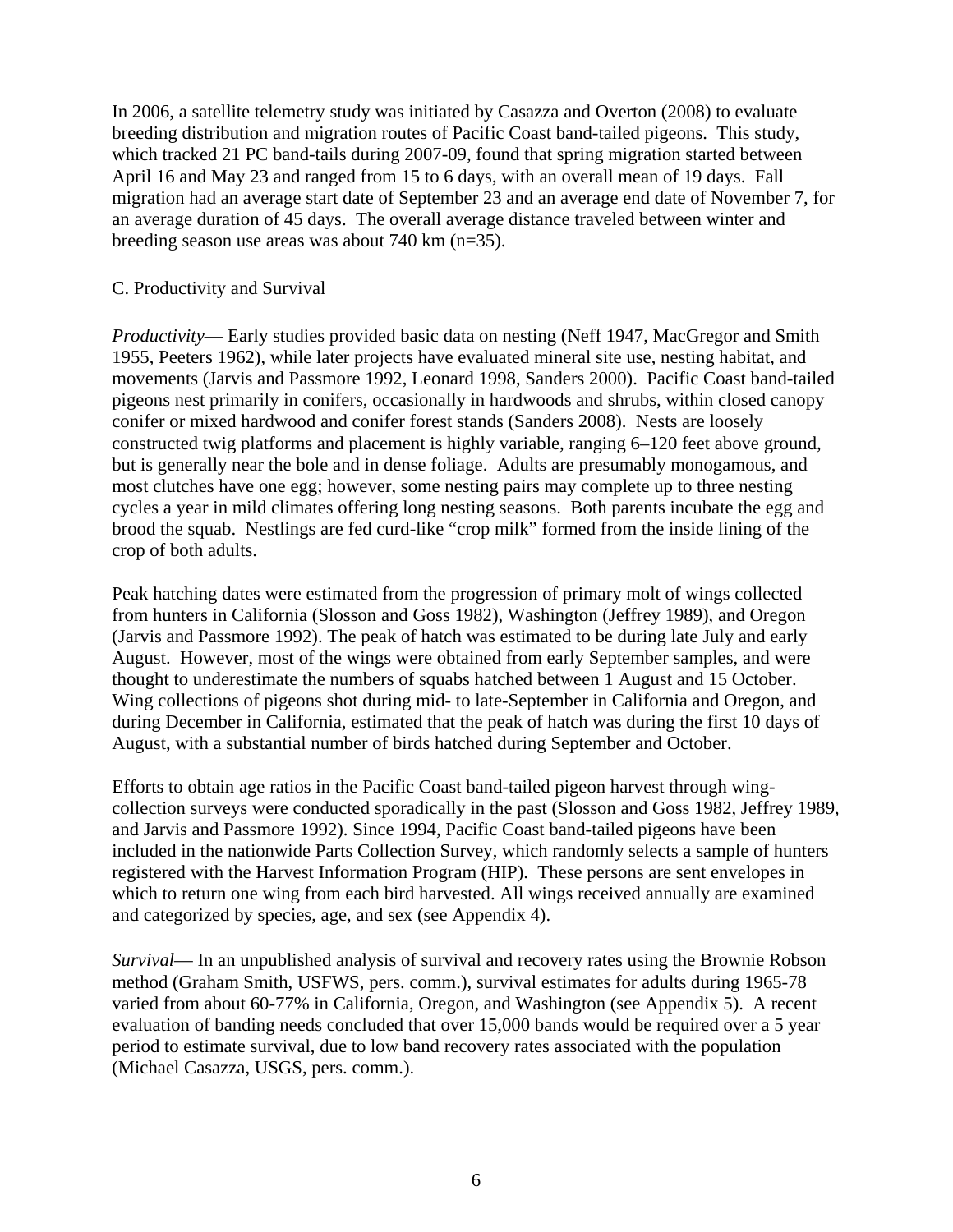In 2006, a satellite telemetry study was initiated by Casazza and Overton (2008) to evaluate breeding distribution and migration routes of Pacific Coast band-tailed pigeons. This study, which tracked 21 PC band-tails during 2007-09, found that spring migration started between April 16 and May 23 and ranged from 15 to 6 days, with an overall mean of 19 days. Fall migration had an average start date of September 23 and an average end date of November 7, for an average duration of 45 days. The overall average distance traveled between winter and breeding season use areas was about 740 km (n=35).

#### C. Productivity and Survival

*Productivity*— Early studies provided basic data on nesting (Neff 1947, MacGregor and Smith 1955, Peeters 1962), while later projects have evaluated mineral site use, nesting habitat, and movements (Jarvis and Passmore 1992, Leonard 1998, Sanders 2000). Pacific Coast band-tailed pigeons nest primarily in conifers, occasionally in hardwoods and shrubs, within closed canopy conifer or mixed hardwood and conifer forest stands (Sanders 2008). Nests are loosely constructed twig platforms and placement is highly variable, ranging 6–120 feet above ground, but is generally near the bole and in dense foliage. Adults are presumably monogamous, and most clutches have one egg; however, some nesting pairs may complete up to three nesting cycles a year in mild climates offering long nesting seasons. Both parents incubate the egg and brood the squab. Nestlings are fed curd-like "crop milk" formed from the inside lining of the crop of both adults.

Peak hatching dates were estimated from the progression of primary molt of wings collected from hunters in California (Slosson and Goss 1982), Washington (Jeffrey 1989), and Oregon (Jarvis and Passmore 1992). The peak of hatch was estimated to be during late July and early August. However, most of the wings were obtained from early September samples, and were thought to underestimate the numbers of squabs hatched between 1 August and 15 October. Wing collections of pigeons shot during mid- to late-September in California and Oregon, and during December in California, estimated that the peak of hatch was during the first 10 days of August, with a substantial number of birds hatched during September and October.

Efforts to obtain age ratios in the Pacific Coast band-tailed pigeon harvest through wingcollection surveys were conducted sporadically in the past (Slosson and Goss 1982, Jeffrey 1989, and Jarvis and Passmore 1992). Since 1994, Pacific Coast band-tailed pigeons have been included in the nationwide Parts Collection Survey, which randomly selects a sample of hunters registered with the Harvest Information Program (HIP). These persons are sent envelopes in which to return one wing from each bird harvested. All wings received annually are examined and categorized by species, age, and sex (see Appendix 4).

*Survival*— In an unpublished analysis of survival and recovery rates using the Brownie Robson method (Graham Smith, USFWS, pers. comm.), survival estimates for adults during 1965-78 varied from about 60-77% in California, Oregon, and Washington (see Appendix 5). A recent evaluation of banding needs concluded that over 15,000 bands would be required over a 5 year period to estimate survival, due to low band recovery rates associated with the population (Michael Casazza, USGS, pers. comm.).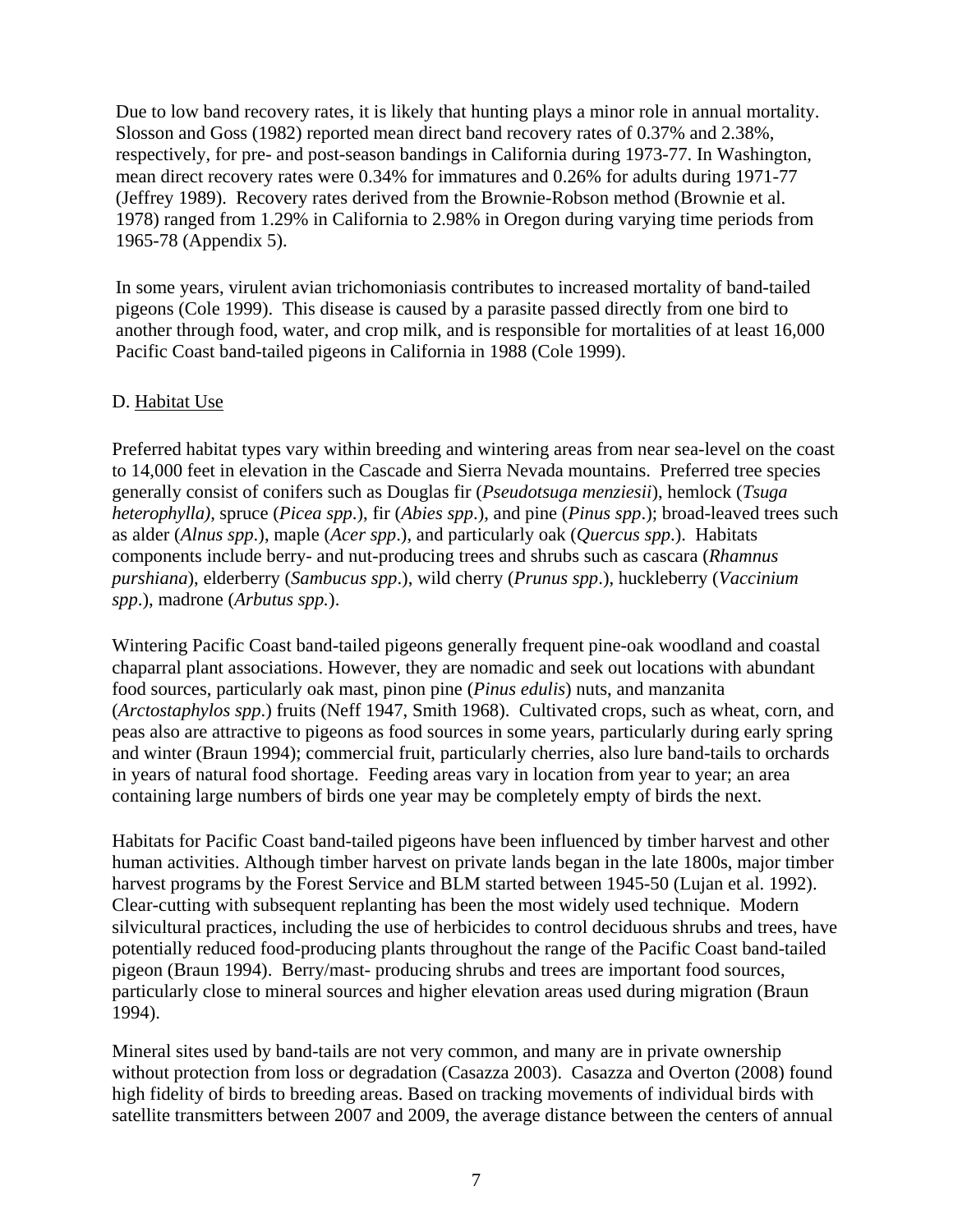Due to low band recovery rates, it is likely that hunting plays a minor role in annual mortality. Slosson and Goss (1982) reported mean direct band recovery rates of 0.37% and 2.38%, respectively, for pre- and post-season bandings in California during 1973-77. In Washington, mean direct recovery rates were 0.34% for immatures and 0.26% for adults during 1971-77 (Jeffrey 1989). Recovery rates derived from the Brownie-Robson method (Brownie et al. 1978) ranged from 1.29% in California to 2.98% in Oregon during varying time periods from 1965-78 (Appendix 5).

In some years, virulent avian trichomoniasis contributes to increased mortality of band-tailed pigeons (Cole 1999). This disease is caused by a parasite passed directly from one bird to another through food, water, and crop milk, and is responsible for mortalities of at least 16,000 Pacific Coast band-tailed pigeons in California in 1988 (Cole 1999).

#### D. Habitat Use

Preferred habitat types vary within breeding and wintering areas from near sea-level on the coast to 14,000 feet in elevation in the Cascade and Sierra Nevada mountains. Preferred tree species generally consist of conifers such as Douglas fir (*Pseudotsuga menziesii*), hemlock (*Tsuga heterophylla),* spruce (*Picea spp*.), fir (*Abies spp*.), and pine (*Pinus spp*.); broad-leaved trees such as alder (*Alnus spp*.), maple (*Acer spp*.), and particularly oak (*Quercus spp*.). Habitats components include berry- and nut-producing trees and shrubs such as cascara (*Rhamnus purshiana*), elderberry (*Sambucus spp*.), wild cherry (*Prunus spp*.), huckleberry (*Vaccinium spp*.), madrone (*Arbutus spp.*).

Wintering Pacific Coast band-tailed pigeons generally frequent pine-oak woodland and coastal chaparral plant associations. However, they are nomadic and seek out locations with abundant food sources, particularly oak mast, pinon pine (*Pinus edulis*) nuts, and manzanita (*Arctostaphylos spp*.) fruits (Neff 1947, Smith 1968). Cultivated crops, such as wheat, corn, and peas also are attractive to pigeons as food sources in some years, particularly during early spring and winter (Braun 1994); commercial fruit, particularly cherries, also lure band-tails to orchards in years of natural food shortage. Feeding areas vary in location from year to year; an area containing large numbers of birds one year may be completely empty of birds the next.

Habitats for Pacific Coast band-tailed pigeons have been influenced by timber harvest and other human activities. Although timber harvest on private lands began in the late 1800s, major timber harvest programs by the Forest Service and BLM started between 1945-50 (Lujan et al. 1992). Clear-cutting with subsequent replanting has been the most widely used technique. Modern silvicultural practices, including the use of herbicides to control deciduous shrubs and trees, have potentially reduced food-producing plants throughout the range of the Pacific Coast band-tailed pigeon (Braun 1994). Berry/mast- producing shrubs and trees are important food sources, particularly close to mineral sources and higher elevation areas used during migration (Braun 1994).

Mineral sites used by band-tails are not very common, and many are in private ownership without protection from loss or degradation (Casazza 2003). Casazza and Overton (2008) found high fidelity of birds to breeding areas. Based on tracking movements of individual birds with satellite transmitters between 2007 and 2009, the average distance between the centers of annual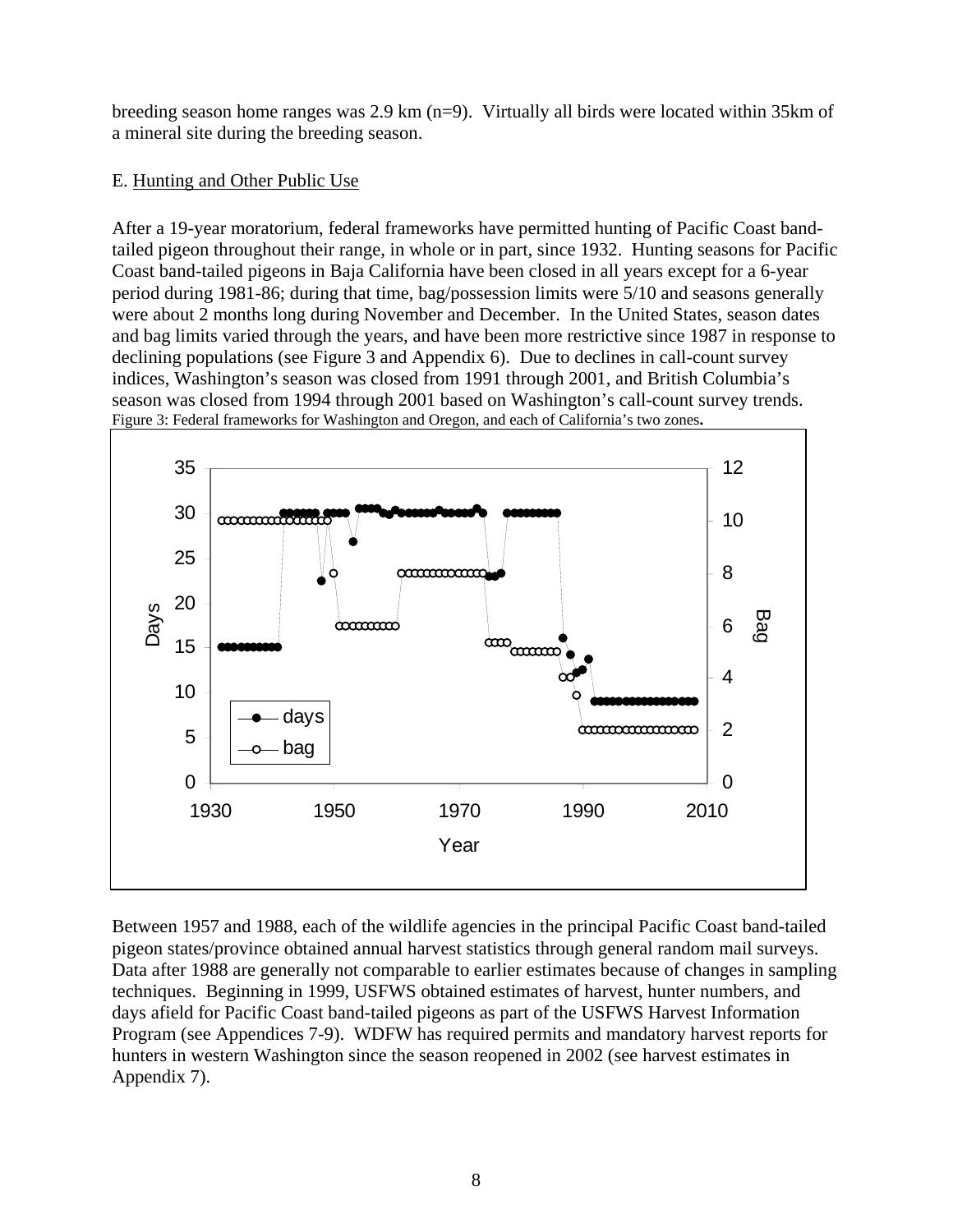breeding season home ranges was 2.9 km (n=9). Virtually all birds were located within 35km of a mineral site during the breeding season.

## E. Hunting and Other Public Use

After a 19-year moratorium, federal frameworks have permitted hunting of Pacific Coast bandtailed pigeon throughout their range, in whole or in part, since 1932. Hunting seasons for Pacific Coast band-tailed pigeons in Baja California have been closed in all years except for a 6-year period during 1981-86; during that time, bag/possession limits were 5/10 and seasons generally were about 2 months long during November and December. In the United States, season dates and bag limits varied through the years, and have been more restrictive since 1987 in response to declining populations (see Figure 3 and Appendix 6). Due to declines in call-count survey indices, Washington's season was closed from 1991 through 2001, and British Columbia's season was closed from 1994 through 2001 based on Washington's call-count survey trends. Figure 3: Federal frameworks for Washington and Oregon, and each of California's two zones**.** 



Between 1957 and 1988, each of the wildlife agencies in the principal Pacific Coast band-tailed pigeon states/province obtained annual harvest statistics through general random mail surveys. Data after 1988 are generally not comparable to earlier estimates because of changes in sampling techniques. Beginning in 1999, USFWS obtained estimates of harvest, hunter numbers, and days afield for Pacific Coast band-tailed pigeons as part of the USFWS Harvest Information Program (see Appendices 7-9). WDFW has required permits and mandatory harvest reports for hunters in western Washington since the season reopened in 2002 (see harvest estimates in Appendix 7).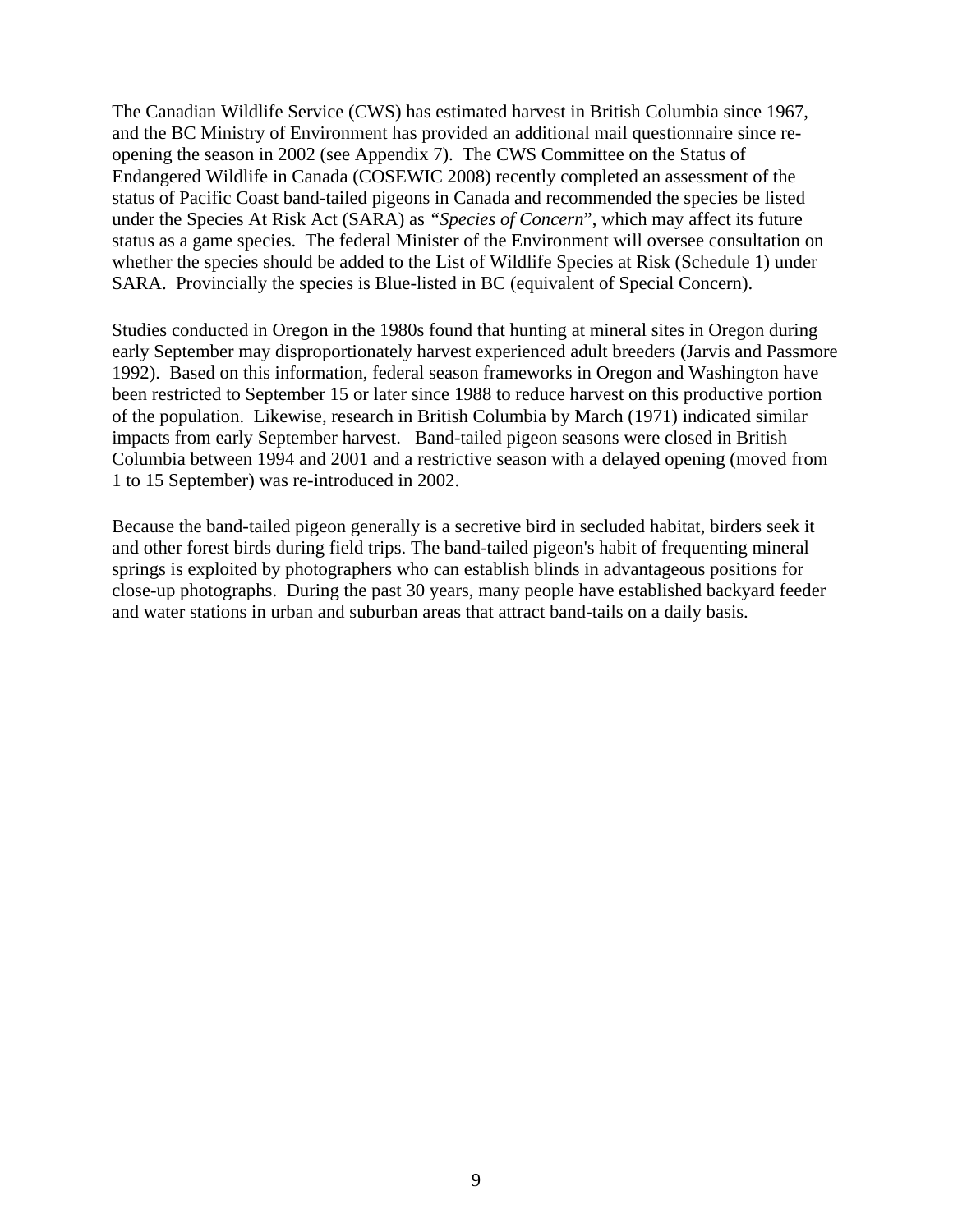The Canadian Wildlife Service (CWS) has estimated harvest in British Columbia since 1967, and the BC Ministry of Environment has provided an additional mail questionnaire since reopening the season in 2002 (see Appendix 7). The CWS Committee on the Status of Endangered Wildlife in Canada (COSEWIC 2008) recently completed an assessment of the status of Pacific Coast band-tailed pigeons in Canada and recommended the species be listed under the Species At Risk Act (SARA) as *"Species of Concern*", which may affect its future status as a game species. The federal Minister of the Environment will oversee consultation on whether the species should be added to the List of Wildlife Species at Risk (Schedule 1) under SARA. Provincially the species is Blue-listed in BC (equivalent of Special Concern).

Studies conducted in Oregon in the 1980s found that hunting at mineral sites in Oregon during early September may disproportionately harvest experienced adult breeders (Jarvis and Passmore 1992). Based on this information, federal season frameworks in Oregon and Washington have been restricted to September 15 or later since 1988 to reduce harvest on this productive portion of the population. Likewise, research in British Columbia by March (1971) indicated similar impacts from early September harvest. Band-tailed pigeon seasons were closed in British Columbia between 1994 and 2001 and a restrictive season with a delayed opening (moved from 1 to 15 September) was re-introduced in 2002.

Because the band-tailed pigeon generally is a secretive bird in secluded habitat, birders seek it and other forest birds during field trips. The band-tailed pigeon's habit of frequenting mineral springs is exploited by photographers who can establish blinds in advantageous positions for close-up photographs. During the past 30 years, many people have established backyard feeder and water stations in urban and suburban areas that attract band-tails on a daily basis.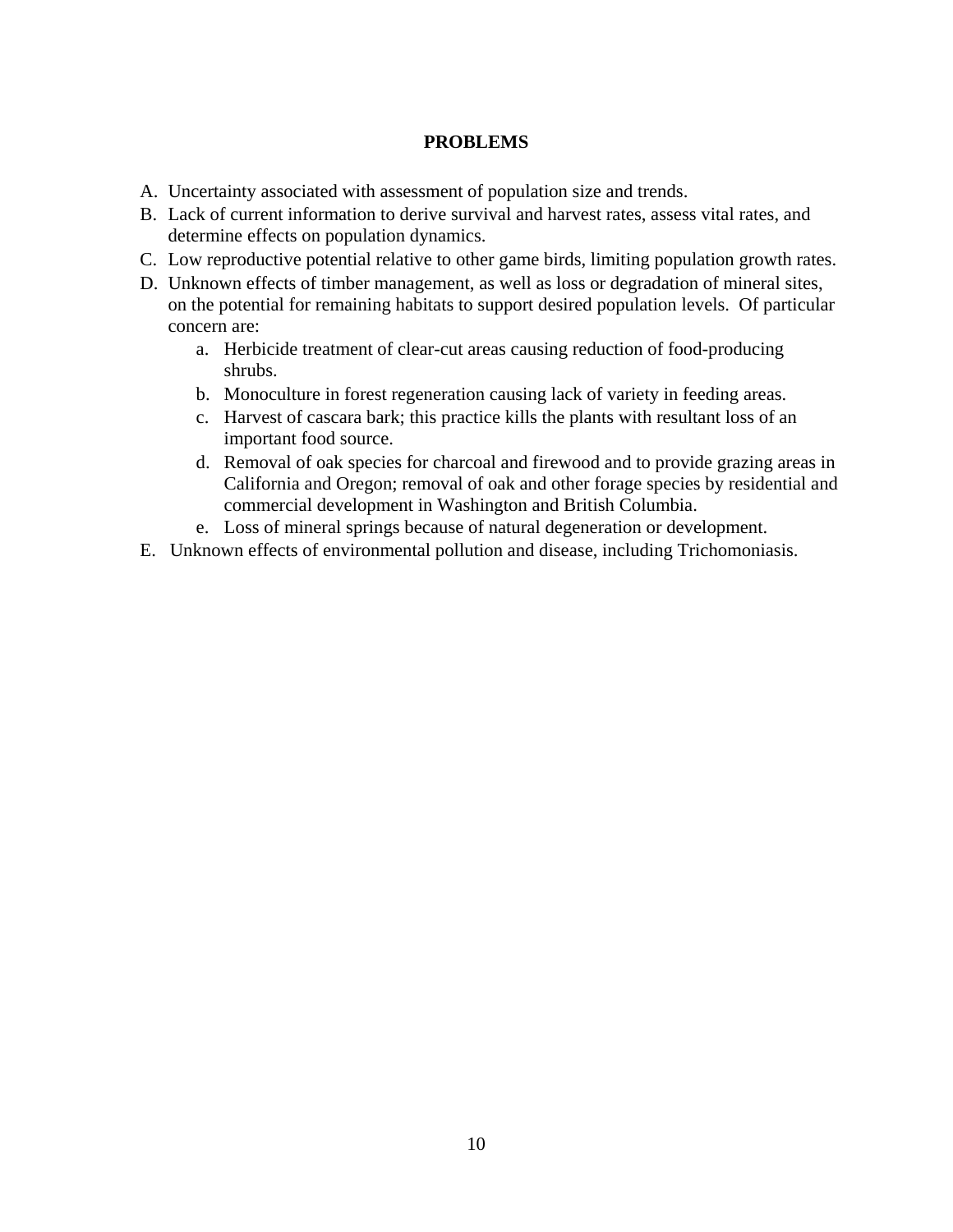## **PROBLEMS**

- A. Uncertainty associated with assessment of population size and trends.
- B. Lack of current information to derive survival and harvest rates, assess vital rates, and determine effects on population dynamics.
- C. Low reproductive potential relative to other game birds, limiting population growth rates.
- D. Unknown effects of timber management, as well as loss or degradation of mineral sites, on the potential for remaining habitats to support desired population levels. Of particular concern are:
	- a. Herbicide treatment of clear-cut areas causing reduction of food-producing shrubs.
	- b. Monoculture in forest regeneration causing lack of variety in feeding areas.
	- c. Harvest of cascara bark; this practice kills the plants with resultant loss of an important food source.
	- d. Removal of oak species for charcoal and firewood and to provide grazing areas in California and Oregon; removal of oak and other forage species by residential and commercial development in Washington and British Columbia.
	- e. Loss of mineral springs because of natural degeneration or development.
- E. Unknown effects of environmental pollution and disease, including Trichomoniasis.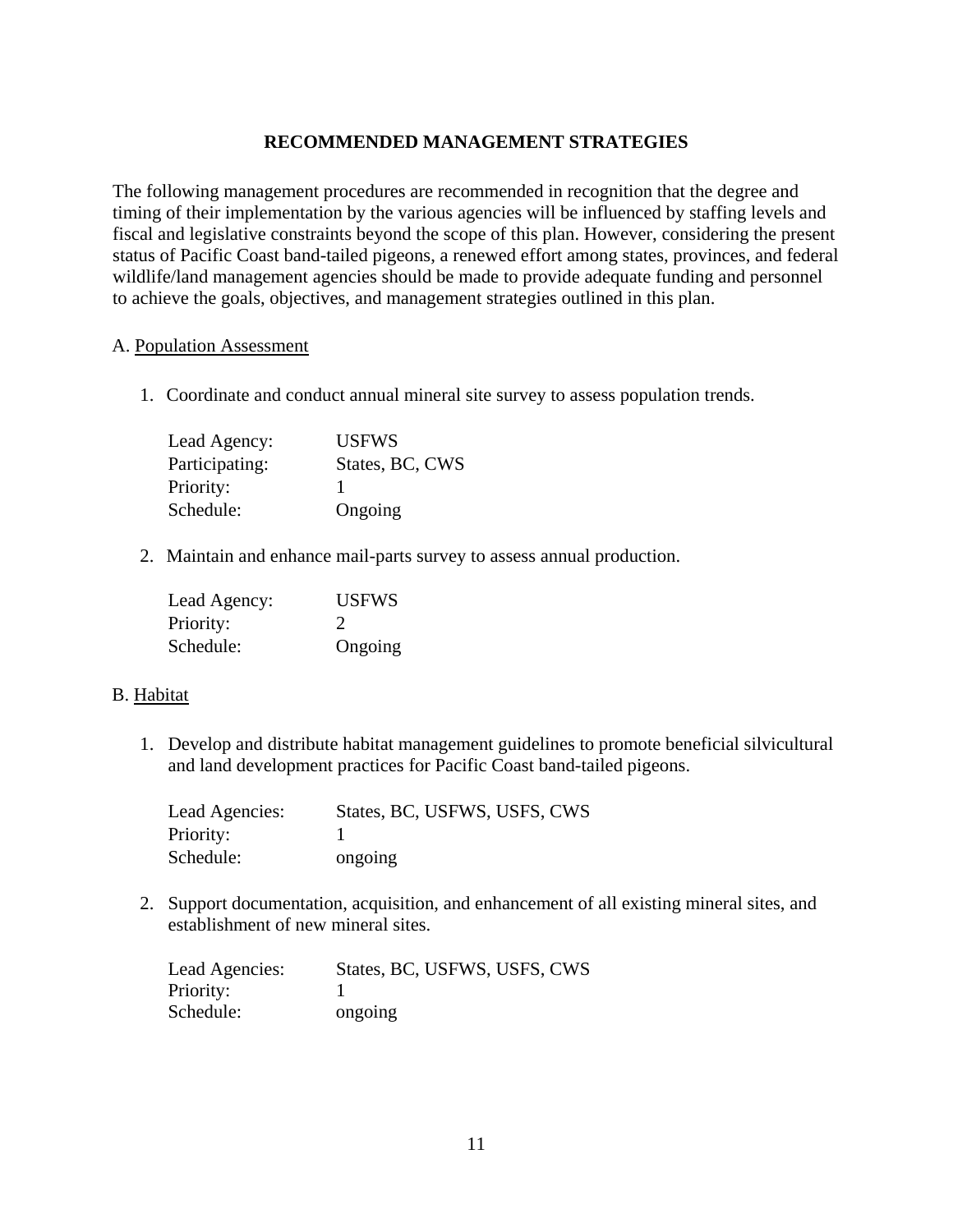## **RECOMMENDED MANAGEMENT STRATEGIES**

The following management procedures are recommended in recognition that the degree and timing of their implementation by the various agencies will be influenced by staffing levels and fiscal and legislative constraints beyond the scope of this plan. However, considering the present status of Pacific Coast band-tailed pigeons, a renewed effort among states, provinces, and federal wildlife/land management agencies should be made to provide adequate funding and personnel to achieve the goals, objectives, and management strategies outlined in this plan.

#### A. Population Assessment

1. Coordinate and conduct annual mineral site survey to assess population trends.

| Lead Agency:   | <b>USEWS</b>    |
|----------------|-----------------|
| Participating: | States, BC, CWS |
| Priority:      |                 |
| Schedule:      | Ongoing         |

2. Maintain and enhance mail-parts survey to assess annual production.

| Lead Agency: | <b>USFWS</b>  |
|--------------|---------------|
| Priority:    | $\mathcal{D}$ |
| Schedule:    | Ongoing       |

#### B. Habitat

1. Develop and distribute habitat management guidelines to promote beneficial silvicultural and land development practices for Pacific Coast band-tailed pigeons.

| Lead Agencies: | States, BC, USFWS, USFS, CWS |
|----------------|------------------------------|
| Priority:      |                              |
| Schedule:      | ongoing                      |

2. Support documentation, acquisition, and enhancement of all existing mineral sites, and establishment of new mineral sites.

| Lead Agencies: | States, BC, USFWS, USFS, CWS |
|----------------|------------------------------|
| Priority:      |                              |
| Schedule:      | ongoing                      |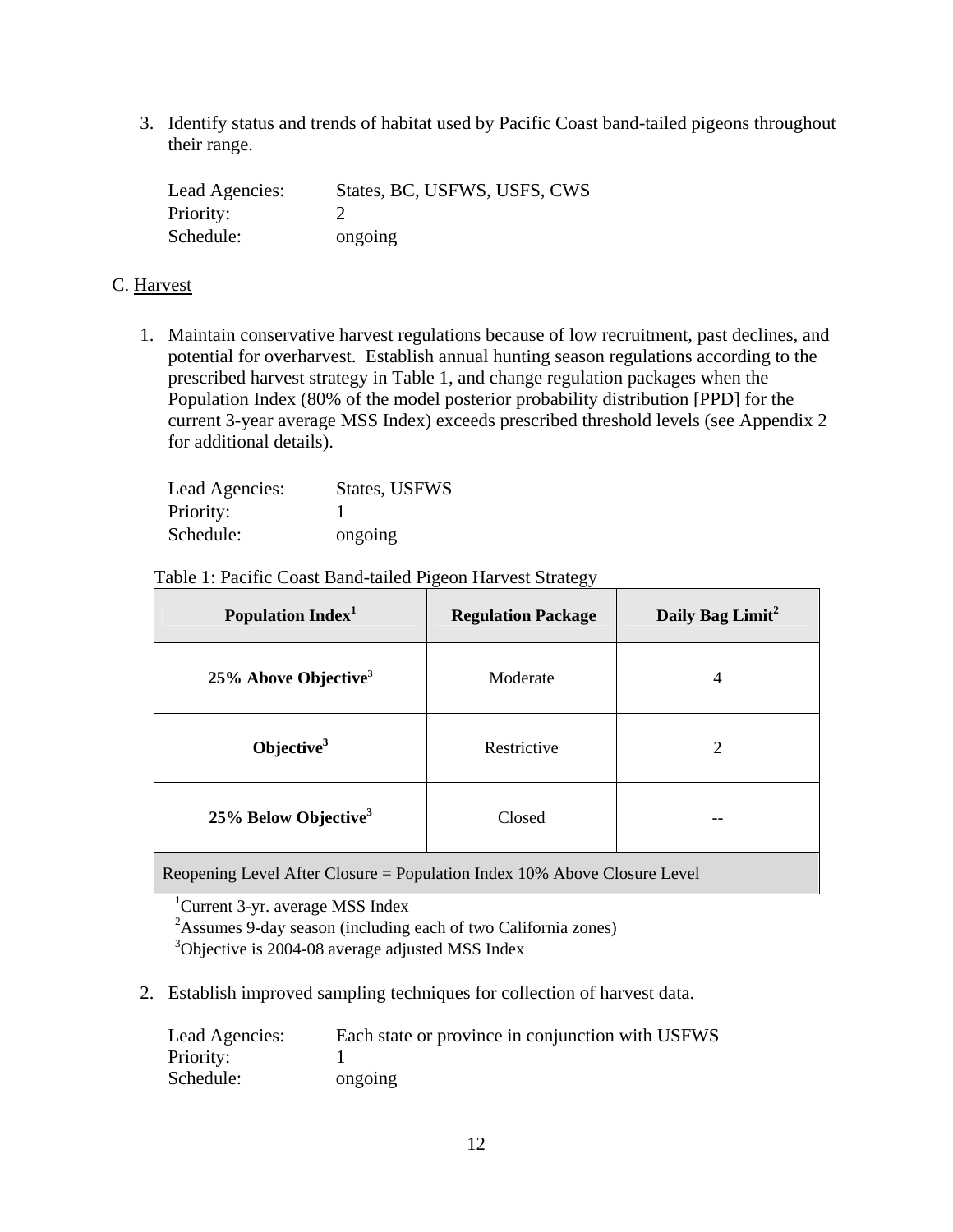3. Identify status and trends of habitat used by Pacific Coast band-tailed pigeons throughout their range.

| Lead Agencies: | States, BC, USFWS, USFS, CWS |
|----------------|------------------------------|
| Priority:      |                              |
| Schedule:      | ongoing                      |

#### C. Harvest

1. Maintain conservative harvest regulations because of low recruitment, past declines, and potential for overharvest. Establish annual hunting season regulations according to the prescribed harvest strategy in Table 1, and change regulation packages when the Population Index (80% of the model posterior probability distribution [PPD] for the current 3-year average MSS Index) exceeds prescribed threshold levels (see Appendix 2 for additional details).

| Lead Agencies: | States, USFWS |
|----------------|---------------|
| Priority:      |               |
| Schedule:      | ongoing       |

#### Table 1: Pacific Coast Band-tailed Pigeon Harvest Strategy

| Population Index <sup>1</sup>       | <b>Regulation Package</b> | Daily Bag Limit <sup>2</sup> |
|-------------------------------------|---------------------------|------------------------------|
| $25\%$ Above Objective <sup>3</sup> | Moderate                  | 4                            |
| Objective $3$                       | Restrictive               | 2                            |
| 25% Below Objective <sup>3</sup>    | Closed                    |                              |

Reopening Level After Closure = Population Index 10% Above Closure Level

<sup>3</sup>Objective is 2004-08 average adjusted MSS Index

2. Establish improved sampling techniques for collection of harvest data.

| Lead Agencies: | Each state or province in conjunction with USFWS |
|----------------|--------------------------------------------------|
| Priority:      |                                                  |
| Schedule:      | ongoing                                          |

<sup>&</sup>lt;sup>1</sup>Current 3-yr. average MSS Index

<sup>&</sup>lt;sup>2</sup> Assumes 9-day season (including each of two California zones)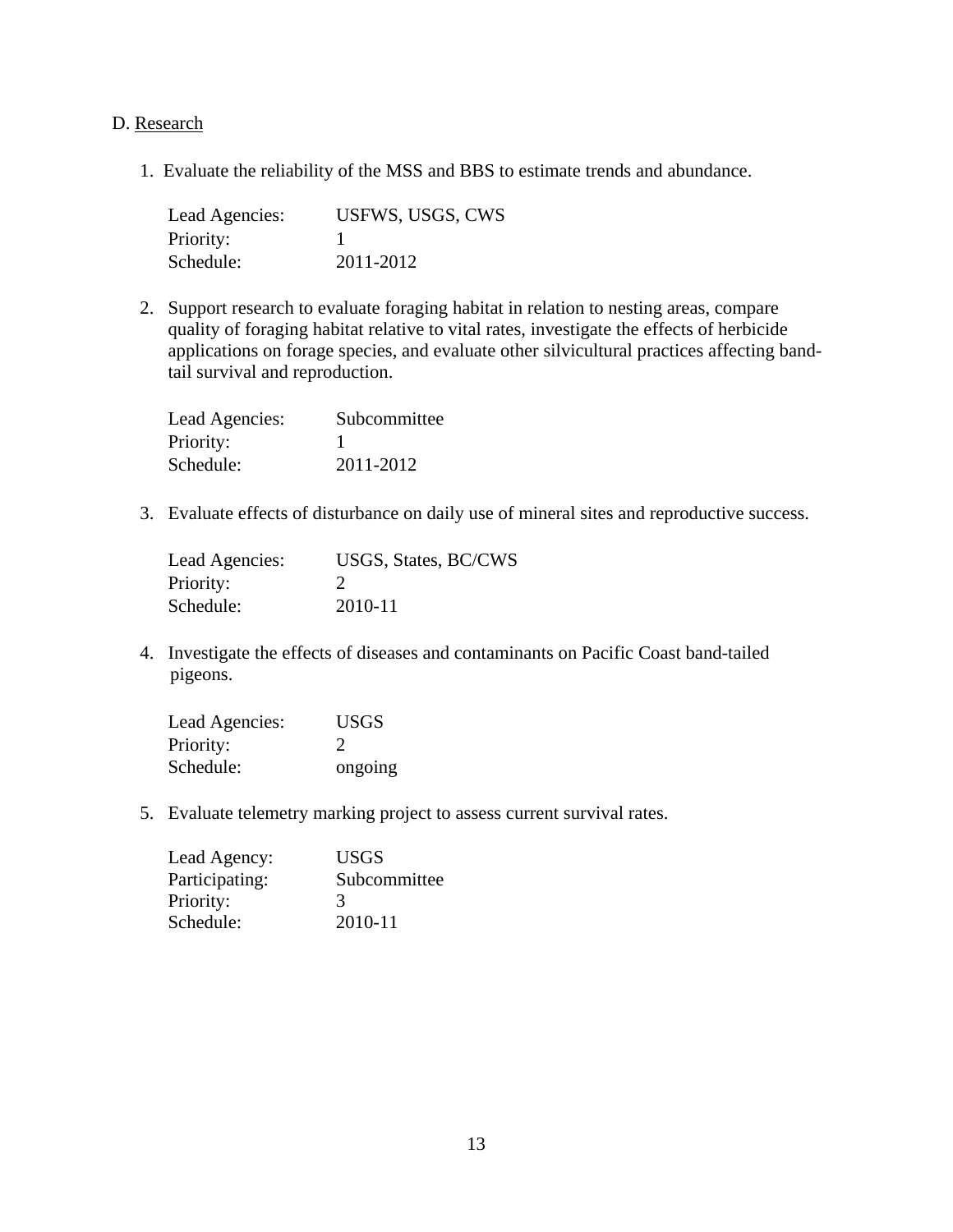#### D. Research

1. Evaluate the reliability of the MSS and BBS to estimate trends and abundance.

| Lead Agencies: | USFWS, USGS, CWS |
|----------------|------------------|
| Priority:      |                  |
| Schedule:      | 2011-2012        |

2. Support research to evaluate foraging habitat in relation to nesting areas, compare quality of foraging habitat relative to vital rates, investigate the effects of herbicide applications on forage species, and evaluate other silvicultural practices affecting bandtail survival and reproduction.

| Lead Agencies: | Subcommittee |
|----------------|--------------|
| Priority:      |              |
| Schedule:      | 2011-2012    |

3. Evaluate effects of disturbance on daily use of mineral sites and reproductive success.

| Lead Agencies: | USGS, States, BC/CWS |
|----------------|----------------------|
| Priority:      |                      |
| Schedule:      | 2010-11              |

4. Investigate the effects of diseases and contaminants on Pacific Coast band-tailed pigeons.

| Lead Agencies: | <b>USGS</b>   |
|----------------|---------------|
| Priority:      | $\mathcal{L}$ |
| Schedule:      | ongoing       |

5. Evaluate telemetry marking project to assess current survival rates.

| Lead Agency:   | <b>USGS</b>  |
|----------------|--------------|
| Participating: | Subcommittee |
| Priority:      | 3            |
| Schedule:      | 2010-11      |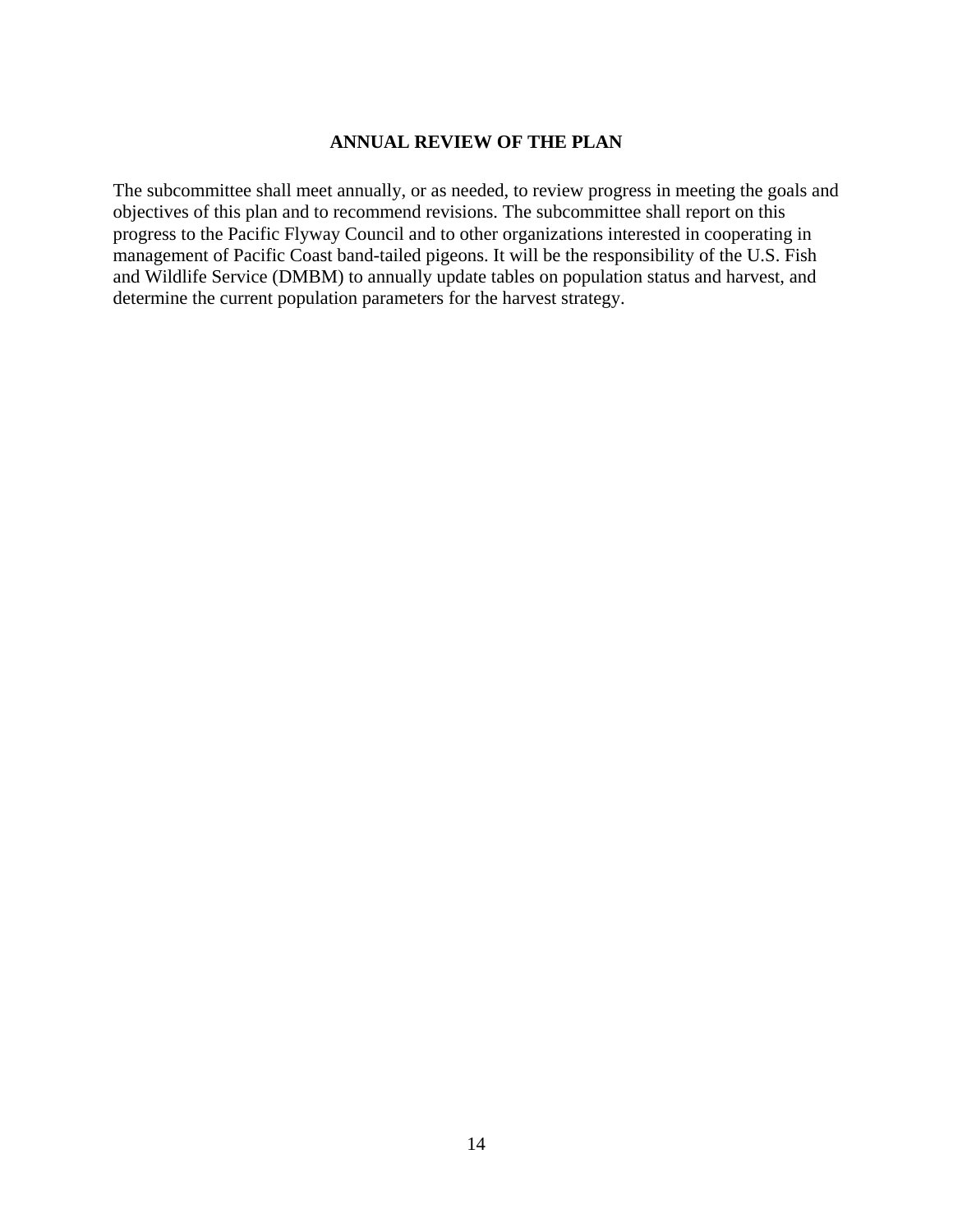#### **ANNUAL REVIEW OF THE PLAN**

The subcommittee shall meet annually, or as needed, to review progress in meeting the goals and objectives of this plan and to recommend revisions. The subcommittee shall report on this progress to the Pacific Flyway Council and to other organizations interested in cooperating in management of Pacific Coast band-tailed pigeons. It will be the responsibility of the U.S. Fish and Wildlife Service (DMBM) to annually update tables on population status and harvest, and determine the current population parameters for the harvest strategy.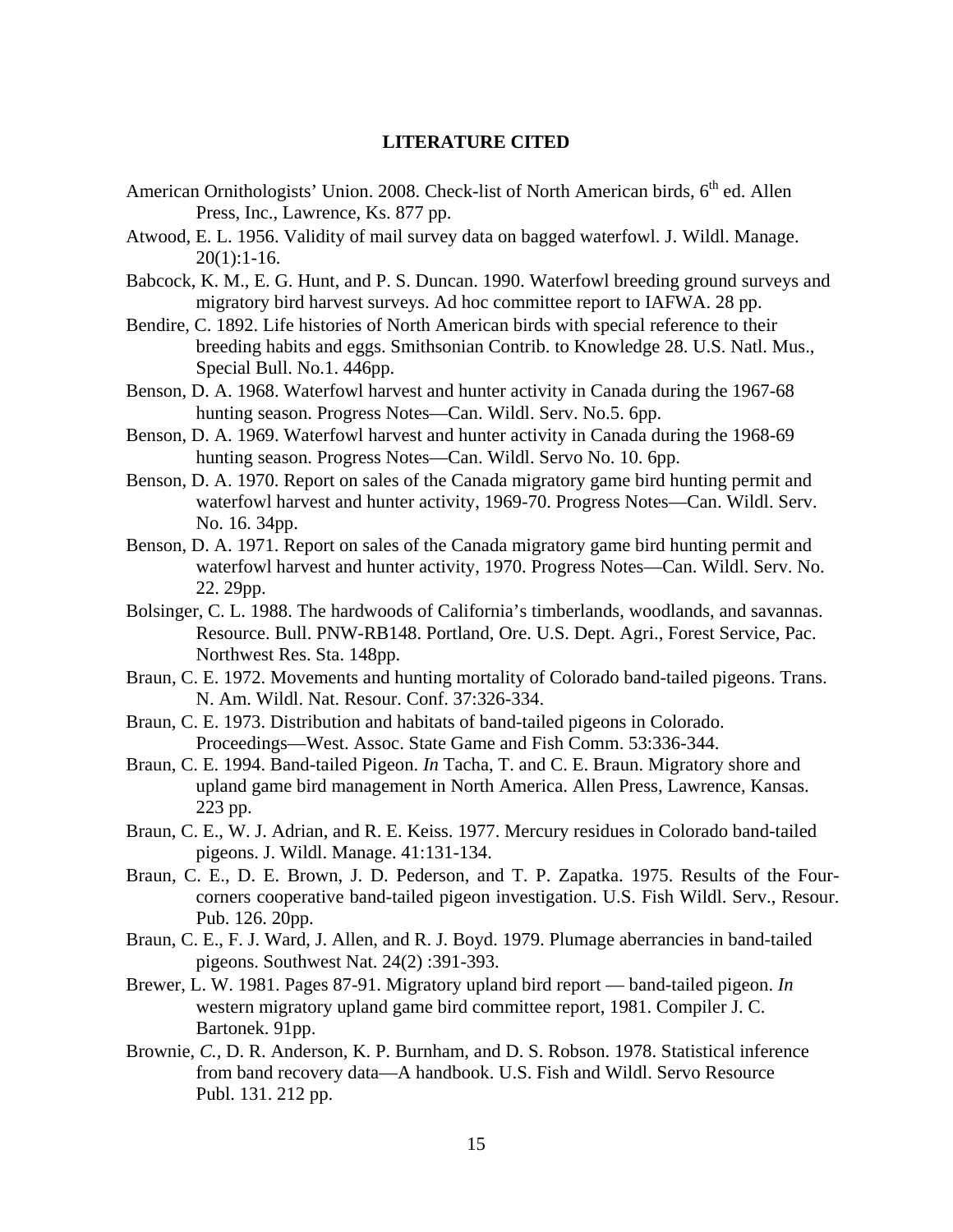#### **LITERATURE CITED**

- American Ornithologists' Union. 2008. Check-list of North American birds,  $6<sup>th</sup>$  ed. Allen Press, Inc., Lawrence, Ks. 877 pp.
- Atwood, E. L. 1956. Validity of mail survey data on bagged waterfowl. J. Wildl. Manage.  $20(1):1-16.$
- Babcock, K. M., E. G. Hunt, and P. S. Duncan. 1990. Waterfowl breeding ground surveys and migratory bird harvest surveys. Ad hoc committee report to IAFWA. 28 pp.
- Bendire, C. 1892. Life histories of North American birds with special reference to their breeding habits and eggs. Smithsonian Contrib. to Knowledge 28. U.S. Natl. Mus., Special Bull. No.1. 446pp.
- Benson, D. A. 1968. Waterfowl harvest and hunter activity in Canada during the 1967-68 hunting season. Progress Notes—Can. Wildl. Serv. No.5. 6pp.
- Benson, D. A. 1969. Waterfowl harvest and hunter activity in Canada during the 1968-69 hunting season. Progress Notes—Can. Wildl. Servo No. 10. 6pp.
- Benson, D. A. 1970. Report on sales of the Canada migratory game bird hunting permit and waterfowl harvest and hunter activity, 1969-70. Progress Notes—Can. Wildl. Serv. No. 16. 34pp.
- Benson, D. A. 1971. Report on sales of the Canada migratory game bird hunting permit and waterfowl harvest and hunter activity, 1970. Progress Notes—Can. Wildl. Serv. No. 22. 29pp.
- Bolsinger, C. L. 1988. The hardwoods of California's timberlands, woodlands, and savannas. Resource. Bull. PNW-RB148. Portland, Ore. U.S. Dept. Agri., Forest Service, Pac. Northwest Res. Sta. 148pp.
- Braun, C. E. 1972. Movements and hunting mortality of Colorado band-tailed pigeons. Trans. N. Am. Wildl. Nat. Resour. Conf. 37:326-334.
- Braun, C. E. 1973. Distribution and habitats of band-tailed pigeons in Colorado. Proceedings—West. Assoc. State Game and Fish Comm. 53:336-344.
- Braun, C. E. 1994. Band-tailed Pigeon. *In* Tacha, T. and C. E. Braun. Migratory shore and upland game bird management in North America. Allen Press, Lawrence, Kansas. 223 pp.
- Braun, C. E., W. J. Adrian, and R. E. Keiss. 1977. Mercury residues in Colorado band-tailed pigeons. J. Wildl. Manage. 41:131-134.
- Braun, C. E., D. E. Brown, J. D. Pederson, and T. P. Zapatka. 1975. Results of the Fourcorners cooperative band-tailed pigeon investigation. U.S. Fish Wildl. Serv., Resour. Pub. 126. 20pp.
- Braun, C. E., F. J. Ward, J. Allen, and R. J. Boyd. 1979. Plumage aberrancies in band-tailed pigeons. Southwest Nat. 24(2) :391-393.
- Brewer, L. W. 1981. Pages 87-91. Migratory upland bird report band-tailed pigeon. *In* western migratory upland game bird committee report, 1981. Compiler J. C. Bartonek. 91pp.
- Brownie, *C.,* D. R. Anderson, K. P. Burnham, and D. S. Robson. 1978. Statistical inference from band recovery data—A handbook. U.S. Fish and Wildl. Servo Resource Publ. 131. 212 pp.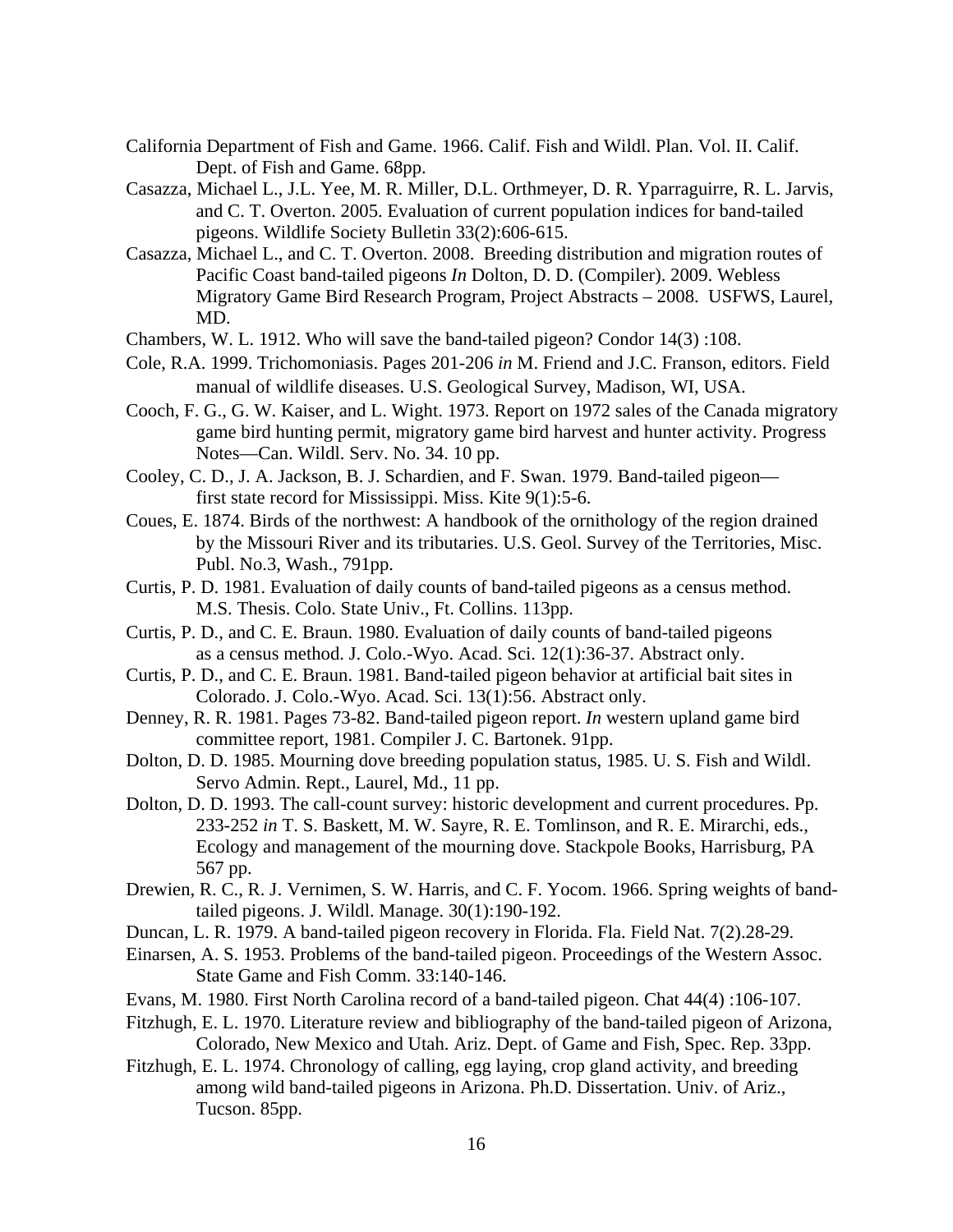- California Department of Fish and Game. 1966. Calif. Fish and Wildl. Plan. Vol. II. Calif. Dept. of Fish and Game. 68pp.
- Casazza, Michael L., J.L. Yee, M. R. Miller, D.L. Orthmeyer, D. R. Yparraguirre, R. L. Jarvis, and C. T. Overton. 2005. Evaluation of current population indices for band-tailed pigeons. Wildlife Society Bulletin 33(2):606-615.
- Casazza, Michael L., and C. T. Overton. 2008. Breeding distribution and migration routes of Pacific Coast band-tailed pigeons *In* Dolton, D. D. (Compiler). 2009. Webless Migratory Game Bird Research Program, Project Abstracts – 2008. USFWS, Laurel, MD.
- Chambers, W. L. 1912. Who will save the band-tailed pigeon? Condor 14(3) :108.
- Cole, R.A. 1999. Trichomoniasis. Pages 201-206 *in* M. Friend and J.C. Franson, editors. Field manual of wildlife diseases. U.S. Geological Survey, Madison, WI, USA.
- Cooch, F. G., G. W. Kaiser, and L. Wight. 1973. Report on 1972 sales of the Canada migratory game bird hunting permit, migratory game bird harvest and hunter activity. Progress Notes—Can. Wildl. Serv. No. 34. 10 pp.
- Cooley, C. D., J. A. Jackson, B. J. Schardien, and F. Swan. 1979. Band-tailed pigeon first state record for Mississippi. Miss. Kite 9(1):5-6.
- Coues, E. 1874. Birds of the northwest: A handbook of the ornithology of the region drained by the Missouri River and its tributaries. U.S. Geol. Survey of the Territories, Misc. Publ. No.3, Wash., 791pp.
- Curtis, P. D. 1981. Evaluation of daily counts of band-tailed pigeons as a census method. M.S. Thesis. Colo. State Univ., Ft. Collins. 113pp.
- Curtis, P. D., and C. E. Braun. 1980. Evaluation of daily counts of band-tailed pigeons as a census method. J. Colo.-Wyo. Acad. Sci. 12(1):36-37. Abstract only.
- Curtis, P. D., and C. E. Braun. 1981. Band-tailed pigeon behavior at artificial bait sites in Colorado. J. Colo.-Wyo. Acad. Sci. 13(1):56. Abstract only.
- Denney, R. R. 1981. Pages 73-82. Band-tailed pigeon report. *In* western upland game bird committee report, 1981. Compiler J. C. Bartonek. 91pp.
- Dolton, D. D. 1985. Mourning dove breeding population status, 1985. U. S. Fish and Wildl. Servo Admin. Rept., Laurel, Md., 11 pp.
- Dolton, D. D. 1993. The call-count survey: historic development and current procedures. Pp. 233-252 *in* T. S. Baskett, M. W. Sayre, R. E. Tomlinson, and R. E. Mirarchi, eds., Ecology and management of the mourning dove. Stackpole Books, Harrisburg, PA 567 pp.
- Drewien, R. C., R. J. Vernimen, S. W. Harris, and C. F. Yocom. 1966. Spring weights of bandtailed pigeons. J. Wildl. Manage. 30(1):190-192.
- Duncan, L. R. 1979. A band-tailed pigeon recovery in Florida. Fla. Field Nat. 7(2).28-29.
- Einarsen, A. S. 1953. Problems of the band-tailed pigeon. Proceedings of the Western Assoc. State Game and Fish Comm. 33:140-146.
- Evans, M. 1980. First North Carolina record of a band-tailed pigeon. Chat 44(4) :106-107.
- Fitzhugh, E. L. 1970. Literature review and bibliography of the band-tailed pigeon of Arizona, Colorado, New Mexico and Utah. Ariz. Dept. of Game and Fish, Spec. Rep. 33pp.
- Fitzhugh, E. L. 1974. Chronology of calling, egg laying, crop gland activity, and breeding among wild band-tailed pigeons in Arizona. Ph.D. Dissertation. Univ. of Ariz., Tucson. 85pp.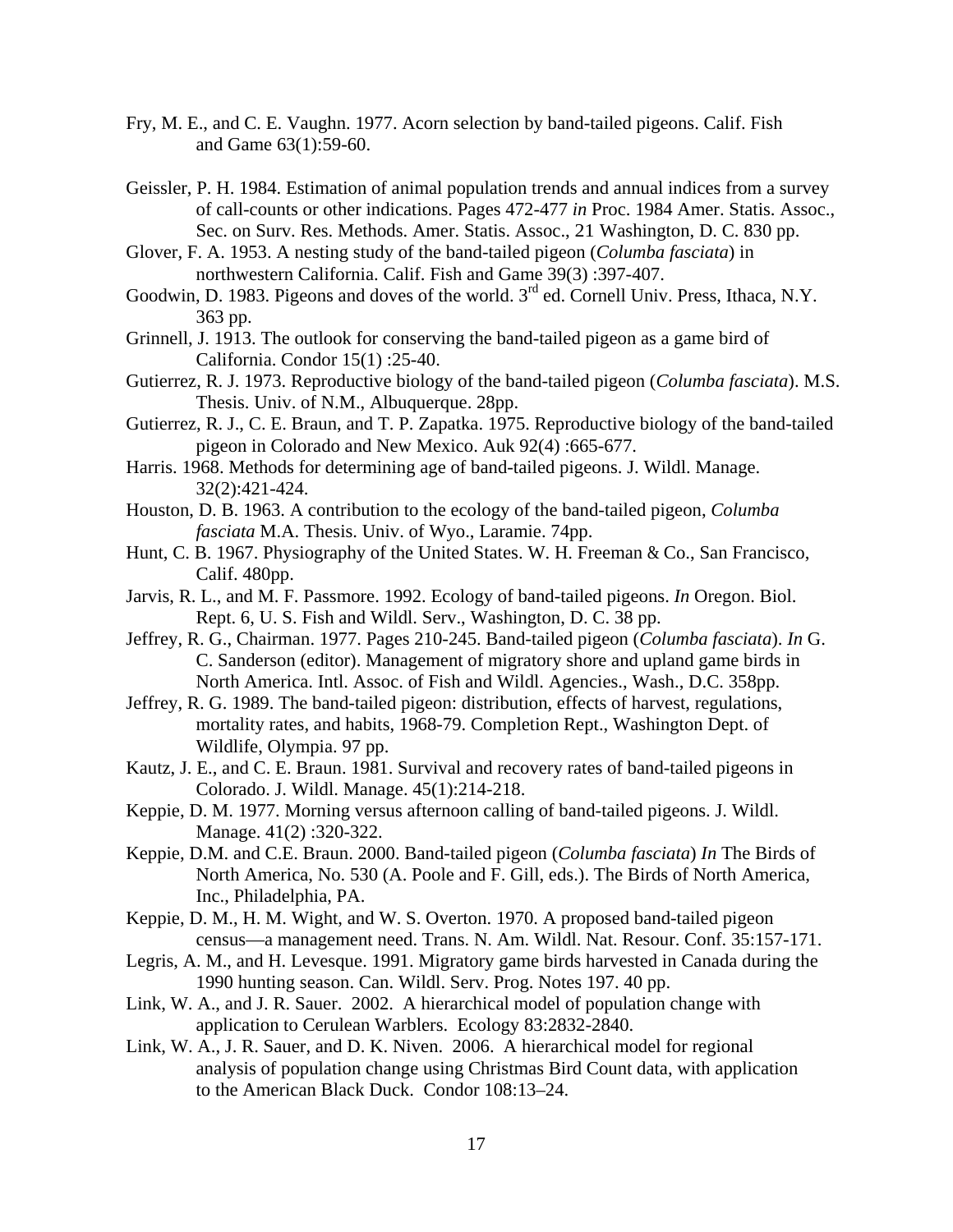- Fry, M. E., and C. E. Vaughn. 1977. Acorn selection by band-tailed pigeons. Calif. Fish and Game 63(1):59-60.
- Geissler, P. H. 1984. Estimation of animal population trends and annual indices from a survey of call-counts or other indications. Pages 472-477 *in* Proc. 1984 Amer. Statis. Assoc., Sec. on Surv. Res. Methods. Amer. Statis. Assoc., 21 Washington, D. C. 830 pp.
- Glover, F. A. 1953. A nesting study of the band-tailed pigeon (*Columba fasciata*) in northwestern California. Calif. Fish and Game 39(3) :397-407.
- Goodwin, D. 1983. Pigeons and doves of the world. 3<sup>rd</sup> ed. Cornell Univ. Press, Ithaca, N.Y. 363 pp.
- Grinnell, J. 1913. The outlook for conserving the band-tailed pigeon as a game bird of California. Condor 15(1) :25-40.
- Gutierrez, R. J. 1973. Reproductive biology of the band-tailed pigeon (*Columba fasciata*). M.S. Thesis. Univ. of N.M., Albuquerque. 28pp.
- Gutierrez, R. J., C. E. Braun, and T. P. Zapatka. 1975. Reproductive biology of the band-tailed pigeon in Colorado and New Mexico. Auk 92(4) :665-677.
- Harris. 1968. Methods for determining age of band-tailed pigeons. J. Wildl. Manage. 32(2):421-424.
- Houston, D. B. 1963. A contribution to the ecology of the band-tailed pigeon, *Columba fasciata* M.A. Thesis. Univ. of Wyo., Laramie. 74pp.
- Hunt, C. B. 1967. Physiography of the United States. W. H. Freeman & Co., San Francisco, Calif. 480pp.
- Jarvis, R. L., and M. F. Passmore. 1992. Ecology of band-tailed pigeons. *In* Oregon. Biol. Rept. 6, U. S. Fish and Wildl. Serv., Washington, D. C. 38 pp.
- Jeffrey, R. G., Chairman. 1977. Pages 210-245. Band-tailed pigeon (*Columba fasciata*). *In* G. C. Sanderson (editor). Management of migratory shore and upland game birds in North America. Intl. Assoc. of Fish and Wildl. Agencies., Wash., D.C. 358pp.
- Jeffrey, R. G. 1989. The band-tailed pigeon: distribution, effects of harvest, regulations, mortality rates, and habits, 1968-79. Completion Rept., Washington Dept. of Wildlife, Olympia. 97 pp.
- Kautz, J. E., and C. E. Braun. 1981. Survival and recovery rates of band-tailed pigeons in Colorado. J. Wildl. Manage. 45(1):214-218.
- Keppie, D. M. 1977. Morning versus afternoon calling of band-tailed pigeons. J. Wildl. Manage. 41(2) :320-322.
- Keppie, D.M. and C.E. Braun. 2000. Band-tailed pigeon (*Columba fasciata*) *In* The Birds of North America, No. 530 (A. Poole and F. Gill, eds.). The Birds of North America, Inc., Philadelphia, PA.
- Keppie, D. M., H. M. Wight, and W. S. Overton. 1970. A proposed band-tailed pigeon census—a management need. Trans. N. Am. Wildl. Nat. Resour. Conf. 35:157-171.
- Legris, A. M., and H. Levesque. 1991. Migratory game birds harvested in Canada during the 1990 hunting season. Can. Wildl. Serv. Prog. Notes 197. 40 pp.
- Link, W. A., and J. R. Sauer. 2002. A hierarchical model of population change with application to Cerulean Warblers. Ecology 83:2832-2840.
- Link, W. A., J. R. Sauer, and D. K. Niven. 2006. A hierarchical model for regional analysis of population change using Christmas Bird Count data, with application to the American Black Duck. Condor 108:13–24.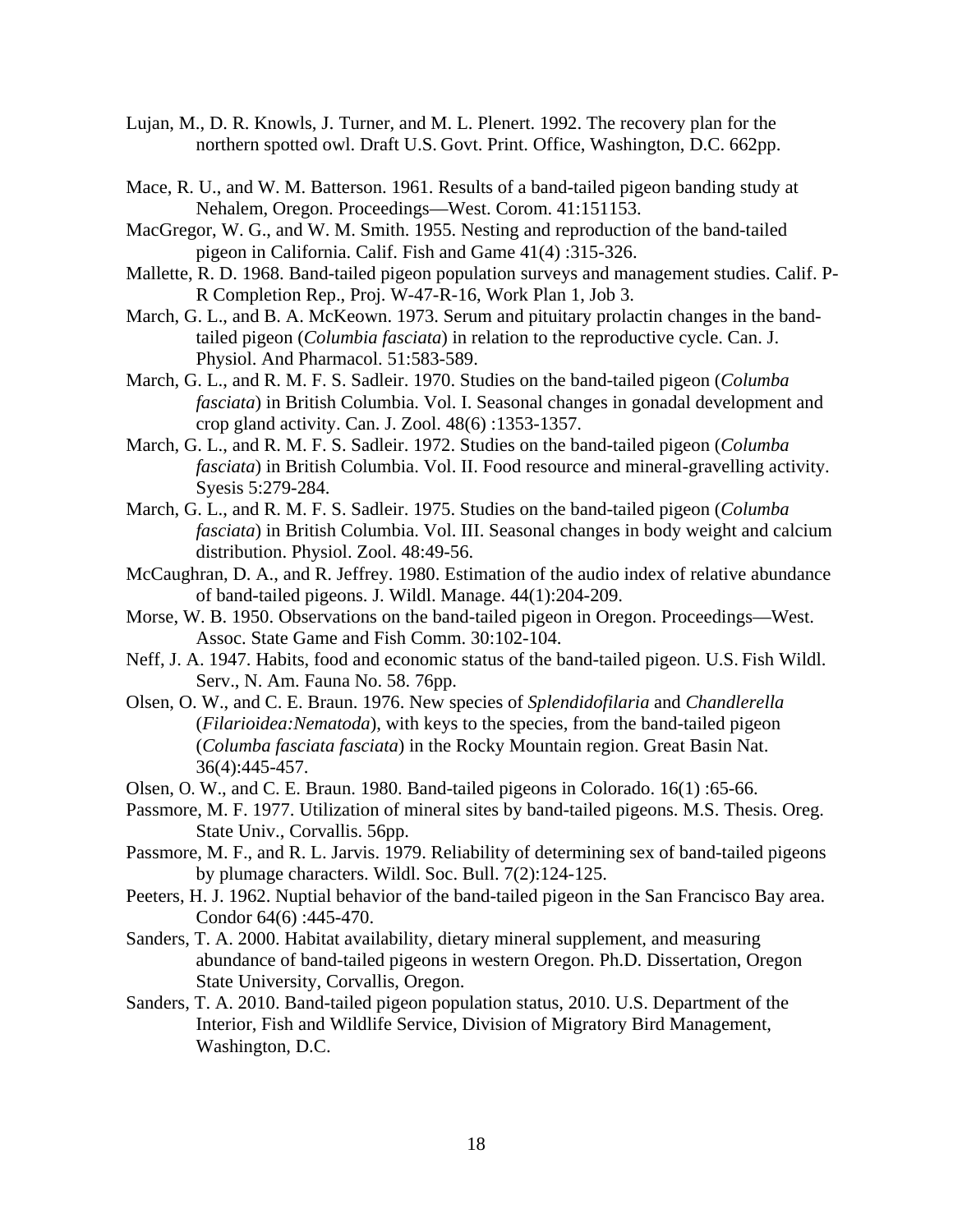- Lujan, M., D. R. Knowls, J. Turner, and M. L. Plenert. 1992. The recovery plan for the northern spotted owl. Draft U.S. Govt. Print. Office, Washington, D.C. 662pp.
- Mace, R. U., and W. M. Batterson. 1961. Results of a band-tailed pigeon banding study at Nehalem, Oregon. Proceedings—West. Corom. 41:151153.
- MacGregor, W. G., and W. M. Smith. 1955. Nesting and reproduction of the band-tailed pigeon in California. Calif. Fish and Game 41(4) :315-326.
- Mallette, R. D. 1968. Band-tailed pigeon population surveys and management studies. Calif. P-R Completion Rep., Proj. W-47-R-16, Work Plan 1, Job 3.
- March, G. L., and B. A. McKeown. 1973. Serum and pituitary prolactin changes in the bandtailed pigeon (*Columbia fasciata*) in relation to the reproductive cycle. Can. J. Physiol. And Pharmacol. 51:583-589.
- March, G. L., and R. M. F. S. Sadleir. 1970. Studies on the band-tailed pigeon (*Columba fasciata*) in British Columbia. Vol. I. Seasonal changes in gonadal development and crop gland activity. Can. J. Zool. 48(6) :1353-1357.
- March, G. L., and R. M. F. S. Sadleir. 1972. Studies on the band-tailed pigeon (*Columba fasciata*) in British Columbia. Vol. II. Food resource and mineral-gravelling activity. Syesis 5:279-284.
- March, G. L., and R. M. F. S. Sadleir. 1975. Studies on the band-tailed pigeon (*Columba fasciata*) in British Columbia. Vol. III. Seasonal changes in body weight and calcium distribution. Physiol. Zool. 48:49-56.
- McCaughran, D. A., and R. Jeffrey. 1980. Estimation of the audio index of relative abundance of band-tailed pigeons. J. Wildl. Manage. 44(1):204-209.
- Morse, W. B. 1950. Observations on the band-tailed pigeon in Oregon. Proceedings—West. Assoc. State Game and Fish Comm. 30:102-104.
- Neff, J. A. 1947. Habits, food and economic status of the band-tailed pigeon. U.S. Fish Wildl. Serv., N. Am. Fauna No. 58. 76pp.
- Olsen, O. W., and C. E. Braun. 1976. New species of *Splendidofilaria* and *Chandlerella* (*Filarioidea:Nematoda*), with keys to the species, from the band-tailed pigeon (*Columba fasciata fasciata*) in the Rocky Mountain region. Great Basin Nat. 36(4):445-457.
- Olsen, O. W., and C. E. Braun. 1980. Band-tailed pigeons in Colorado. 16(1) :65-66.
- Passmore, M. F. 1977. Utilization of mineral sites by band-tailed pigeons. M.S. Thesis. Oreg. State Univ., Corvallis. 56pp.
- Passmore, M. F., and R. L. Jarvis. 1979. Reliability of determining sex of band-tailed pigeons by plumage characters. Wildl. Soc. Bull. 7(2):124-125.
- Peeters, H. J. 1962. Nuptial behavior of the band-tailed pigeon in the San Francisco Bay area. Condor 64(6) :445-470.
- Sanders, T. A. 2000. Habitat availability, dietary mineral supplement, and measuring abundance of band-tailed pigeons in western Oregon. Ph.D. Dissertation, Oregon State University, Corvallis, Oregon.
- Sanders, T. A. 2010. Band-tailed pigeon population status, 2010. U.S. Department of the Interior, Fish and Wildlife Service, Division of Migratory Bird Management, Washington, D.C.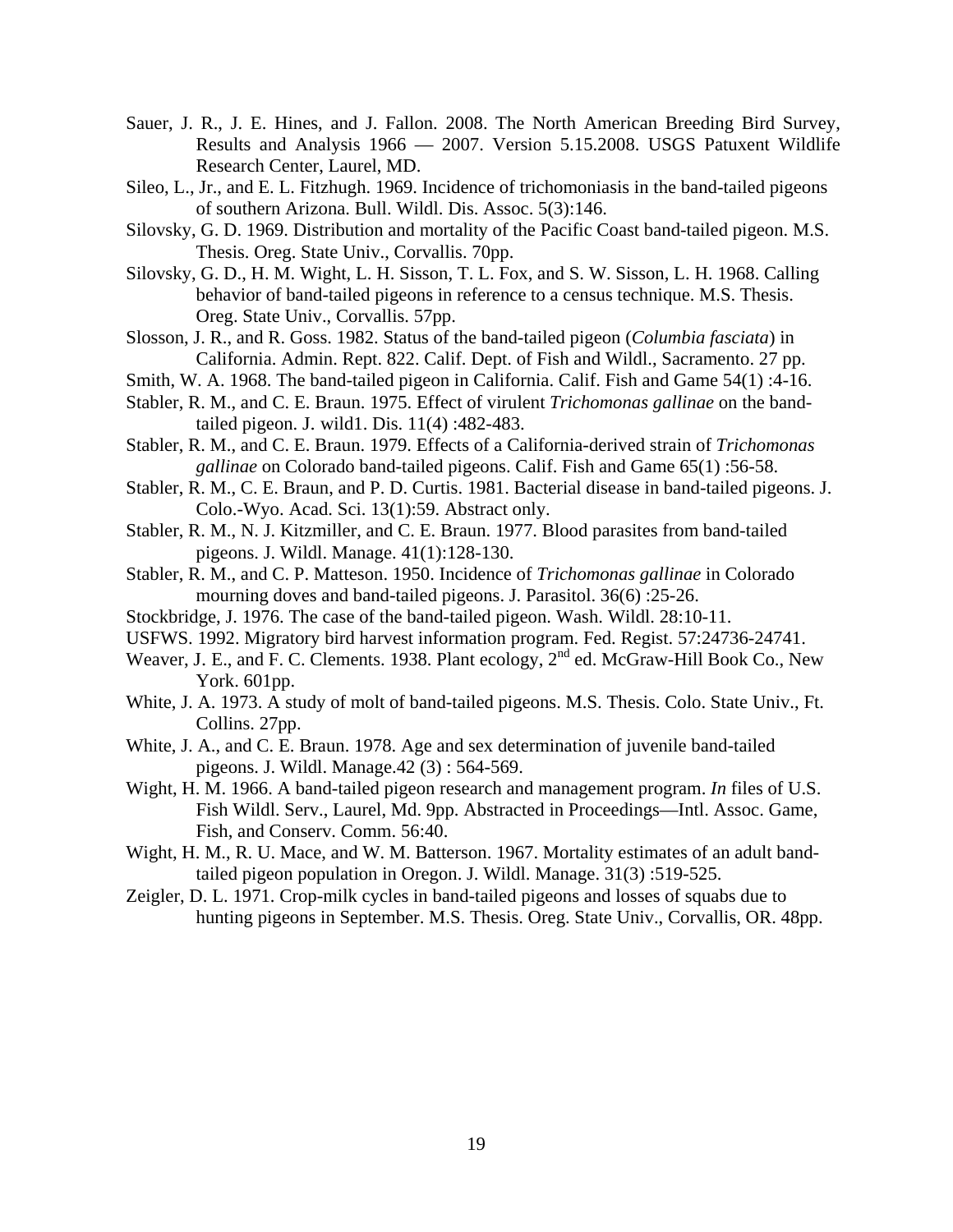- Sauer, J. R., J. E. Hines, and J. Fallon. 2008. The North American Breeding Bird Survey, Results and Analysis 1966 — 2007. Version 5.15.2008. USGS Patuxent Wildlife Research Center, Laurel, MD.
- Sileo, L., Jr., and E. L. Fitzhugh. 1969. Incidence of trichomoniasis in the band-tailed pigeons of southern Arizona. Bull. Wildl. Dis. Assoc. 5(3):146.
- Silovsky, G. D. 1969. Distribution and mortality of the Pacific Coast band-tailed pigeon. M.S. Thesis. Oreg. State Univ., Corvallis. 70pp.
- Silovsky, G. D., H. M. Wight, L. H. Sisson, T. L. Fox, and S. W. Sisson, L. H. 1968. Calling behavior of band-tailed pigeons in reference to a census technique. M.S. Thesis. Oreg. State Univ., Corvallis. 57pp.
- Slosson, J. R., and R. Goss. 1982. Status of the band-tailed pigeon (*Columbia fasciata*) in California. Admin. Rept. 822. Calif. Dept. of Fish and Wildl., Sacramento. 27 pp.
- Smith, W. A. 1968. The band-tailed pigeon in California. Calif. Fish and Game 54(1) :4-16.
- Stabler, R. M., and C. E. Braun. 1975. Effect of virulent *Trichomonas gallinae* on the bandtailed pigeon. J. wild1. Dis. 11(4) :482-483.
- Stabler, R. M., and C. E. Braun. 1979. Effects of a California-derived strain of *Trichomonas gallinae* on Colorado band-tailed pigeons. Calif. Fish and Game 65(1) :56-58.
- Stabler, R. M., C. E. Braun, and P. D. Curtis. 1981. Bacterial disease in band-tailed pigeons. J. Colo.-Wyo. Acad. Sci. 13(1):59. Abstract only.
- Stabler, R. M., N. J. Kitzmiller, and C. E. Braun. 1977. Blood parasites from band-tailed pigeons. J. Wildl. Manage. 41(1):128-130.
- Stabler, R. M., and C. P. Matteson. 1950. Incidence of *Trichomonas gallinae* in Colorado mourning doves and band-tailed pigeons. J. Parasitol. 36(6) :25-26.
- Stockbridge, J. 1976. The case of the band-tailed pigeon. Wash. Wildl. 28:10-11.
- USFWS. 1992. Migratory bird harvest information program. Fed. Regist. 57:24736-24741.
- Weaver, J. E., and F. C. Clements. 1938. Plant ecology, 2<sup>nd</sup> ed. McGraw-Hill Book Co., New York. 601pp.
- White, J. A. 1973. A study of molt of band-tailed pigeons. M.S. Thesis. Colo. State Univ., Ft. Collins. 27pp.
- White, J. A., and C. E. Braun. 1978. Age and sex determination of juvenile band-tailed pigeons. J. Wildl. Manage.42 (3) : 564-569.
- Wight, H. M. 1966. A band-tailed pigeon research and management program. *In* files of U.S. Fish Wildl. Serv., Laurel, Md. 9pp. Abstracted in Proceedings—Intl. Assoc. Game, Fish, and Conserv. Comm. 56:40.
- Wight, H. M., R. U. Mace, and W. M. Batterson. 1967. Mortality estimates of an adult bandtailed pigeon population in Oregon. J. Wildl. Manage. 31(3) :519-525.
- Zeigler, D. L. 1971. Crop-milk cycles in band-tailed pigeons and losses of squabs due to hunting pigeons in September. M.S. Thesis. Oreg. State Univ., Corvallis, OR. 48pp.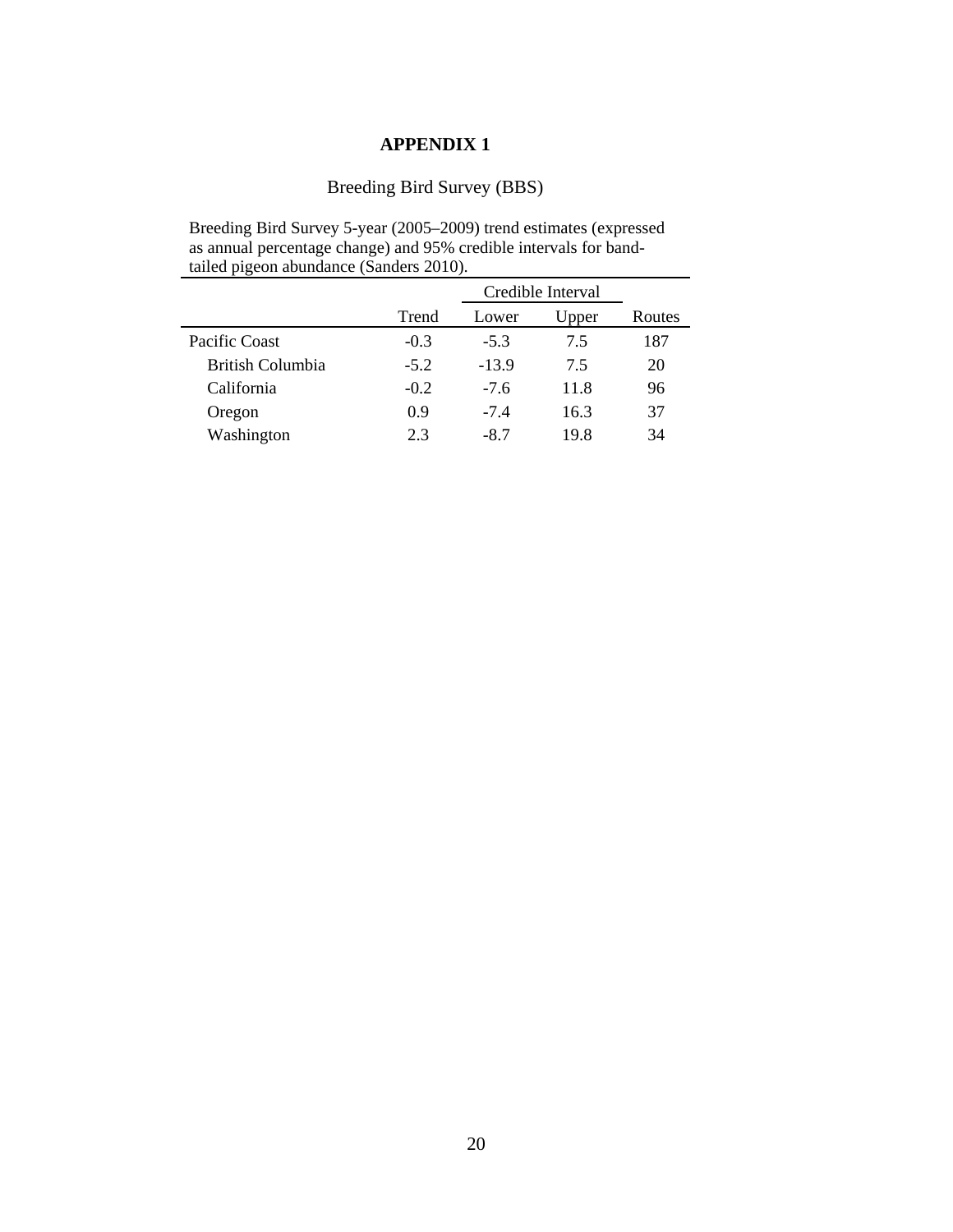## Breeding Bird Survey (BBS)

Breeding Bird Survey 5-year (2005–2009) trend estimates (expressed as annual percentage change) and 95% credible intervals for bandtailed pigeon abundance (Sanders 2010).

|                         |        |         | Credible Interval |        |
|-------------------------|--------|---------|-------------------|--------|
|                         | Trend  | Lower   | Upper             | Routes |
| Pacific Coast           | $-0.3$ | $-5.3$  | 7.5               | 187    |
| <b>British Columbia</b> | $-5.2$ | $-13.9$ | 75                | 20     |
| California              | $-0.2$ | $-7.6$  | 11.8              | 96     |
| Oregon                  | 0.9    | $-7.4$  | 16.3              | 37     |
| Washington              | 23     | $-8.7$  | 19.8              | 34     |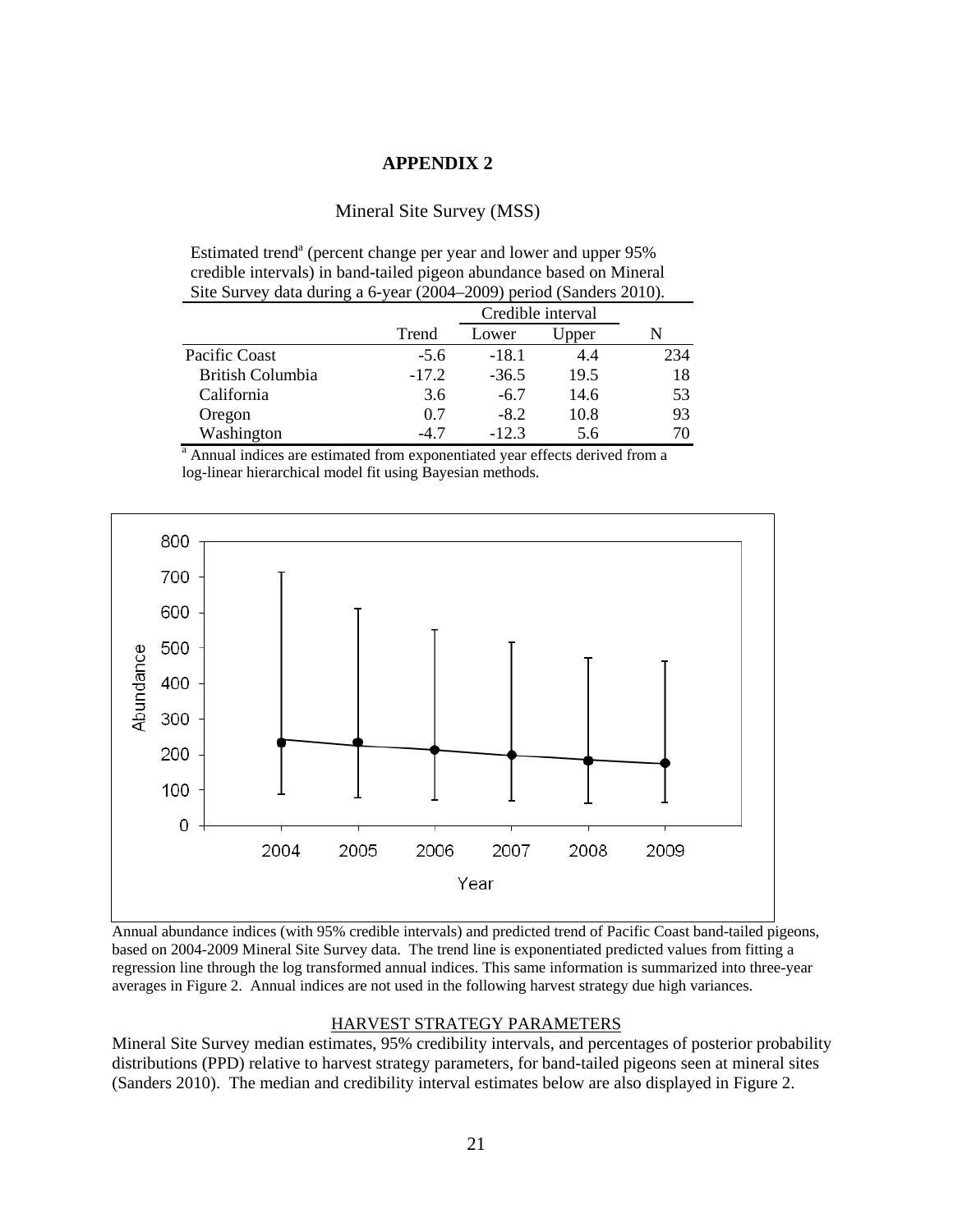#### Mineral Site Survey (MSS)

Estimated trend<sup>a</sup> (percent change per year and lower and upper 95% credible intervals) in band-tailed pigeon abundance based on Mineral Site Survey data during a 6-year (2004–2009) period (Sanders 2010).

|                         |         | Credible interval |       |     |  |  |  |  |
|-------------------------|---------|-------------------|-------|-----|--|--|--|--|
|                         | Trend   | Lower             | Jpper |     |  |  |  |  |
| Pacific Coast           | $-5.6$  | $-18.1$           | 4.4   | 234 |  |  |  |  |
| <b>British Columbia</b> | $-17.2$ | $-36.5$           | 19.5  | 18  |  |  |  |  |
| California              | 3.6     | $-6.7$            | 14.6  | 53  |  |  |  |  |
| Oregon                  | 0.7     | $-8.2$            | 10.8  | 93  |  |  |  |  |
| Washington              | -4 7    | $-12.3$           | 5.6   | 70  |  |  |  |  |

<sup>a</sup> Annual indices are estimated from exponentiated year effects derived from a log-linear hierarchical model fit using Bayesian methods.



Annual abundance indices (with 95% credible intervals) and predicted trend of Pacific Coast band-tailed pigeons, based on 2004-2009 Mineral Site Survey data. The trend line is exponentiated predicted values from fitting a regression line through the log transformed annual indices. This same information is summarized into three-year averages in Figure 2. Annual indices are not used in the following harvest strategy due high variances.

#### HARVEST STRATEGY PARAMETERS

Mineral Site Survey median estimates, 95% credibility intervals, and percentages of posterior probability distributions (PPD) relative to harvest strategy parameters, for band-tailed pigeons seen at mineral sites (Sanders 2010). The median and credibility interval estimates below are also displayed in Figure 2.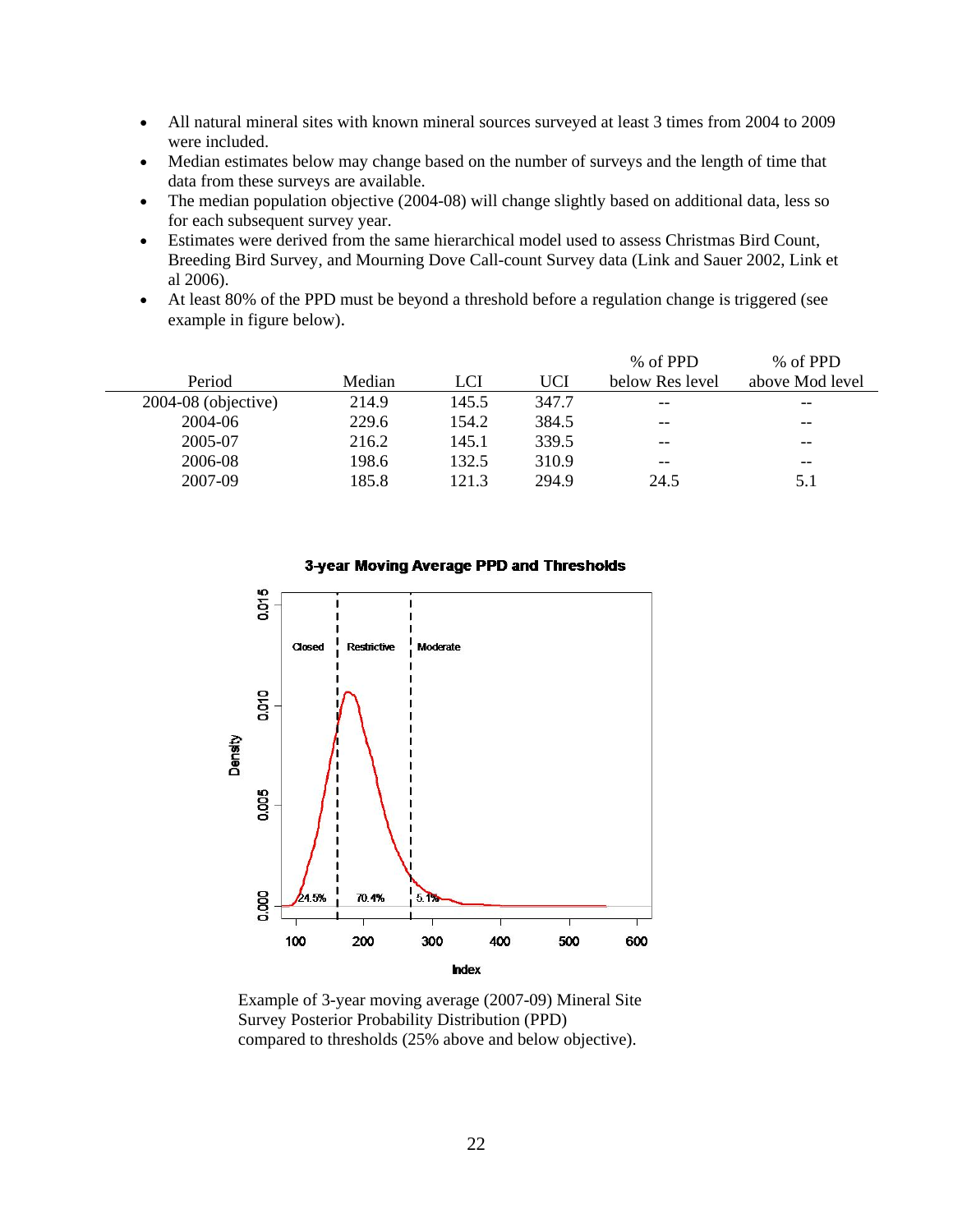- All natural mineral sites with known mineral sources surveyed at least 3 times from 2004 to 2009 were included.
- Median estimates below may change based on the number of surveys and the length of time that data from these surveys are available.
- The median population objective (2004-08) will change slightly based on additional data, less so for each subsequent survey year.
- Estimates were derived from the same hierarchical model used to assess Christmas Bird Count, Breeding Bird Survey, and Mourning Dove Call-count Survey data (Link and Sauer 2002, Link et al 2006).
- At least 80% of the PPD must be beyond a threshold before a regulation change is triggered (see example in figure below).

|                       |        |       |       | % of PPD        | % of PPD        |
|-----------------------|--------|-------|-------|-----------------|-----------------|
| Period                | Median | LCI   | UCI   | below Res level | above Mod level |
| $2004-08$ (objective) | 214.9  | 145.5 | 347.7 | $- -$           | $- -$           |
| 2004-06               | 229.6  | 154.2 | 384.5 | $- -$           | $- -$           |
| 2005-07               | 216.2  | 145.1 | 339.5 | $- -$           | $- -$           |
| 2006-08               | 198.6  | 132.5 | 310.9 | $- -$           | $- -$           |
| 2007-09               | 185.8  | 121.3 | 294.9 | 24.5            | 5.1             |
|                       |        |       |       |                 |                 |

#### 3-year Moving Average PPD and Thresholds



Example of 3-year moving average (2007-09) Mineral Site Survey Posterior Probability Distribution (PPD) compared to thresholds (25% above and below objective).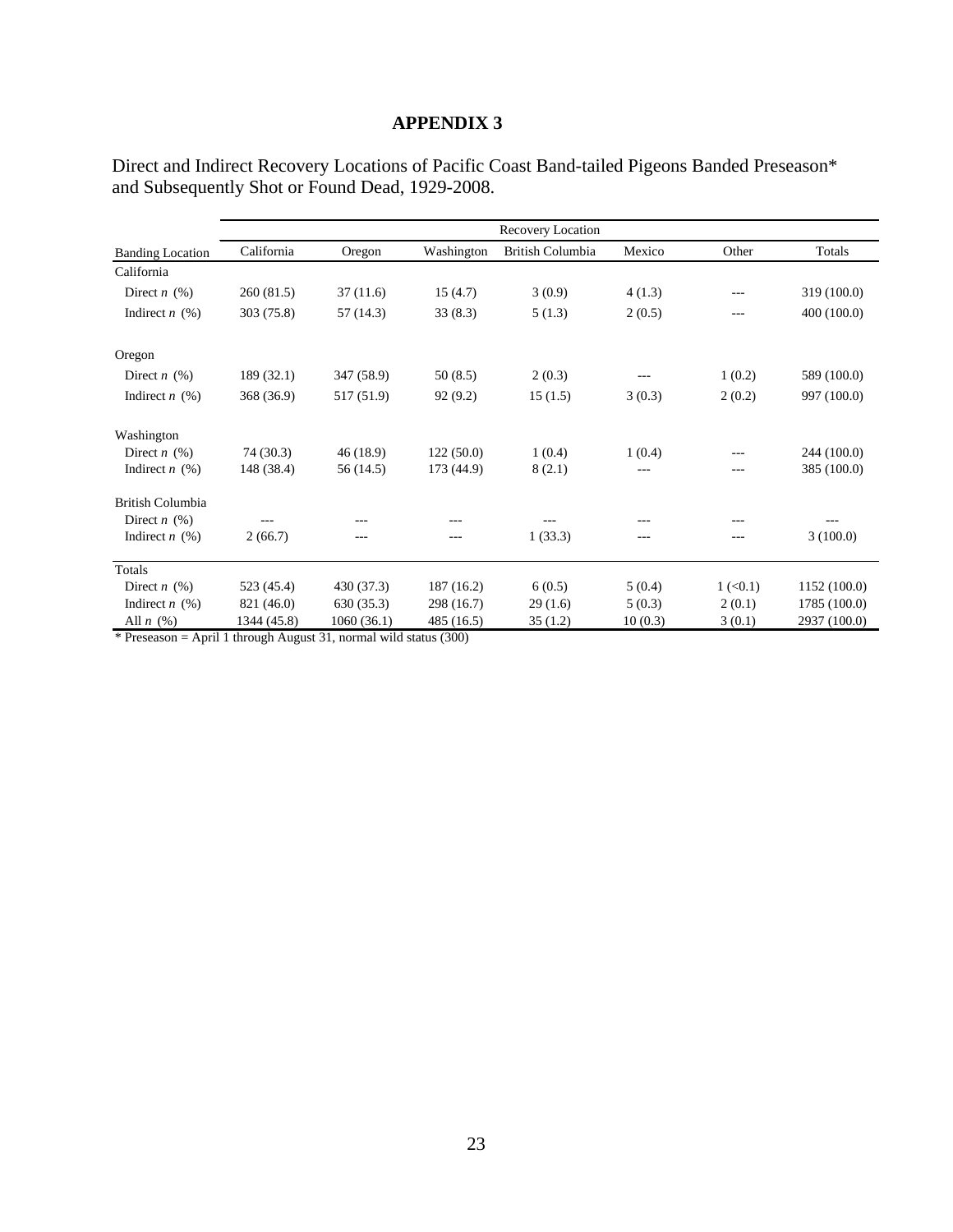|                         | Recovery Location |             |            |                  |         |                        |              |  |  |  |  |  |
|-------------------------|-------------------|-------------|------------|------------------|---------|------------------------|--------------|--|--|--|--|--|
| <b>Banding Location</b> | California        | Oregon      | Washington | British Columbia | Mexico  | Other                  | Totals       |  |  |  |  |  |
| California              |                   |             |            |                  |         |                        |              |  |  |  |  |  |
| Direct $n$ (%)          | 260(81.5)         | 37(11.6)    | 15(4.7)    | 3(0.9)           | 4(1.3)  | $---$                  | 319 (100.0)  |  |  |  |  |  |
| Indirect $n$ (%)        | 303(75.8)         | 57(14.3)    | 33(8.3)    | 5(1.3)           | 2(0.5)  | ---                    | 400 (100.0)  |  |  |  |  |  |
| Oregon                  |                   |             |            |                  |         |                        |              |  |  |  |  |  |
| Direct $n$ (%)          | 189(32.1)         | 347 (58.9)  | 50(8.5)    | 2(0.3)           |         | 1(0.2)                 | 589 (100.0)  |  |  |  |  |  |
| Indirect $n$ (%)        | 368 (36.9)        | 517 (51.9)  | 92(9.2)    | 15(1.5)          | 3(0.3)  | 2(0.2)                 | 997 (100.0)  |  |  |  |  |  |
| Washington              |                   |             |            |                  |         |                        |              |  |  |  |  |  |
| Direct $n$ (%)          | 74 (30.3)         | 46(18.9)    | 122(50.0)  | 1(0.4)           | 1(0.4)  |                        | 244 (100.0)  |  |  |  |  |  |
| Indirect $n$ (%)        | 148 (38.4)        | 56 (14.5)   | 173 (44.9) | 8(2.1)           | $---$   |                        | 385 (100.0)  |  |  |  |  |  |
| British Columbia        |                   |             |            |                  |         |                        |              |  |  |  |  |  |
| Direct $n$ (%)          |                   | ---         | ---        | ---              | ---     |                        |              |  |  |  |  |  |
| Indirect $n$ (%)        | 2(66.7)           | ---         | ---        | 1(33.3)          | ---     | ---                    | 3(100.0)     |  |  |  |  |  |
| Totals                  |                   |             |            |                  |         |                        |              |  |  |  |  |  |
| Direct $n$ (%)          | 523 (45.4)        | 430 (37.3)  | 187(16.2)  | 6(0.5)           | 5(0.4)  | $1 \left( 0.1 \right)$ | 1152(100.0)  |  |  |  |  |  |
| Indirect $n$ (%)        | 821 (46.0)        | 630(35.3)   | 298 (16.7) | 29(1.6)          | 5(0.3)  | 2(0.1)                 | 1785 (100.0) |  |  |  |  |  |
| All $n$ $(\%)$          | 1344 (45.8)       | 1060 (36.1) | 485(16.5)  | 35(1.2)          | 10(0.3) | 3(0.1)                 | 2937 (100.0) |  |  |  |  |  |

Direct and Indirect Recovery Locations of Pacific Coast Band-tailed Pigeons Banded Preseason\* and Subsequently Shot or Found Dead, 1929-2008.

\* Preseason = April 1 through August 31, normal wild status (300)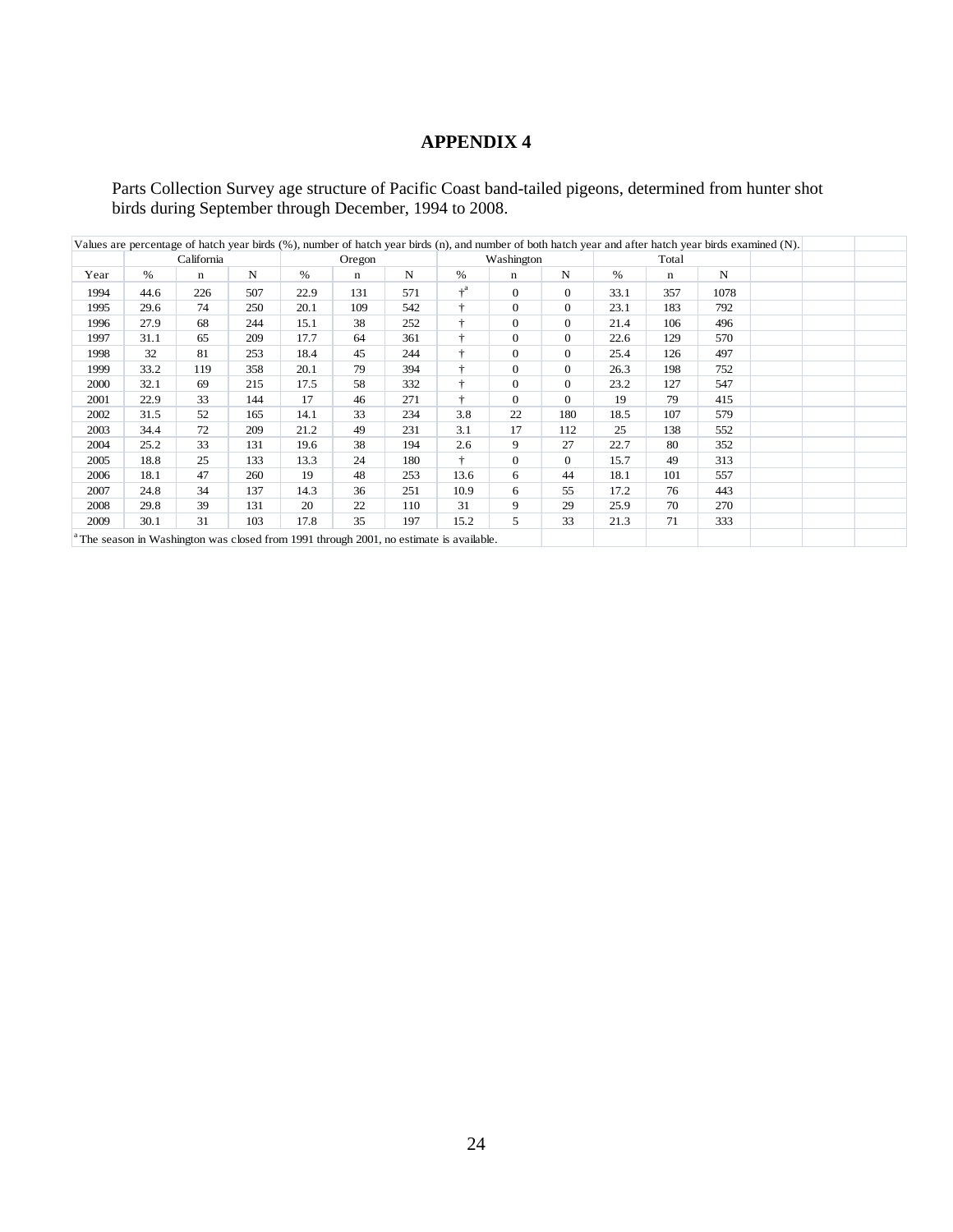Parts Collection Survey age structure of Pacific Coast band-tailed pigeons, determined from hunter shot birds during September through December, 1994 to 2008.

|      | Values are percentage of hatch year birds (%), number of hatch year birds (n), and number of both hatch year and after hatch year birds examined (N). |            |     |      |        |     |                                                                                                    |                |          |      |       |      |  |  |  |
|------|-------------------------------------------------------------------------------------------------------------------------------------------------------|------------|-----|------|--------|-----|----------------------------------------------------------------------------------------------------|----------------|----------|------|-------|------|--|--|--|
|      |                                                                                                                                                       | California |     |      | Oregon |     |                                                                                                    | Washington     |          |      | Total |      |  |  |  |
| Year | %                                                                                                                                                     | n          | N   | %    | n      | N   | $\%$                                                                                               | n              | N        | $\%$ | n     | N    |  |  |  |
| 1994 | 44.6                                                                                                                                                  | 226        | 507 | 22.9 | 131    | 571 | $+^a$                                                                                              | $\overline{0}$ | $\theta$ | 33.1 | 357   | 1078 |  |  |  |
| 1995 | 29.6                                                                                                                                                  | 74         | 250 | 20.1 | 109    | 542 | ÷                                                                                                  | $\overline{0}$ | $\theta$ | 23.1 | 183   | 792  |  |  |  |
| 1996 | 27.9                                                                                                                                                  | 68         | 244 | 15.1 | 38     | 252 | ÷                                                                                                  | $\overline{0}$ | $\theta$ | 21.4 | 106   | 496  |  |  |  |
| 1997 | 31.1                                                                                                                                                  | 65         | 209 | 17.7 | 64     | 361 | ÷                                                                                                  | $\overline{0}$ | $\theta$ | 22.6 | 129   | 570  |  |  |  |
| 1998 | 32                                                                                                                                                    | 81         | 253 | 18.4 | 45     | 244 | ÷                                                                                                  | $\overline{0}$ | $\theta$ | 25.4 | 126   | 497  |  |  |  |
| 1999 | 33.2                                                                                                                                                  | 119        | 358 | 20.1 | 79     | 394 | ÷                                                                                                  | $\overline{0}$ | $\theta$ | 26.3 | 198   | 752  |  |  |  |
| 2000 | 32.1                                                                                                                                                  | 69         | 215 | 17.5 | 58     | 332 | ÷                                                                                                  | $\overline{0}$ | $\theta$ | 23.2 | 127   | 547  |  |  |  |
| 2001 | 22.9                                                                                                                                                  | 33         | 144 | 17   | 46     | 271 | ÷                                                                                                  | $\overline{0}$ | $\theta$ | 19   | 79    | 415  |  |  |  |
| 2002 | 31.5                                                                                                                                                  | 52         | 165 | 14.1 | 33     | 234 | 3.8                                                                                                | 22             | 180      | 18.5 | 107   | 579  |  |  |  |
| 2003 | 34.4                                                                                                                                                  | 72         | 209 | 21.2 | 49     | 231 | 3.1                                                                                                | 17             | 112      | 25   | 138   | 552  |  |  |  |
| 2004 | 25.2                                                                                                                                                  | 33         | 131 | 19.6 | 38     | 194 | 2.6                                                                                                | 9              | 27       | 22.7 | 80    | 352  |  |  |  |
| 2005 | 18.8                                                                                                                                                  | 25         | 133 | 13.3 | 24     | 180 | ÷                                                                                                  | $\overline{0}$ | $\theta$ | 15.7 | 49    | 313  |  |  |  |
| 2006 | 18.1                                                                                                                                                  | 47         | 260 | 19   | 48     | 253 | 13.6                                                                                               | 6              | 44       | 18.1 | 101   | 557  |  |  |  |
| 2007 | 24.8                                                                                                                                                  | 34         | 137 | 14.3 | 36     | 251 | 10.9                                                                                               | 6              | 55       | 17.2 | 76    | 443  |  |  |  |
| 2008 | 29.8                                                                                                                                                  | 39         | 131 | 20   | 22     | 110 | 31                                                                                                 | 9              | 29       | 25.9 | 70    | 270  |  |  |  |
| 2009 | 30.1                                                                                                                                                  | 31         | 103 | 17.8 | 35     | 197 | 15.2                                                                                               | 5              | 33       | 21.3 | 71    | 333  |  |  |  |
|      |                                                                                                                                                       |            |     |      |        |     | <sup>a</sup> The season in Washington was closed from 1991 through 2001, no estimate is available. |                |          |      |       |      |  |  |  |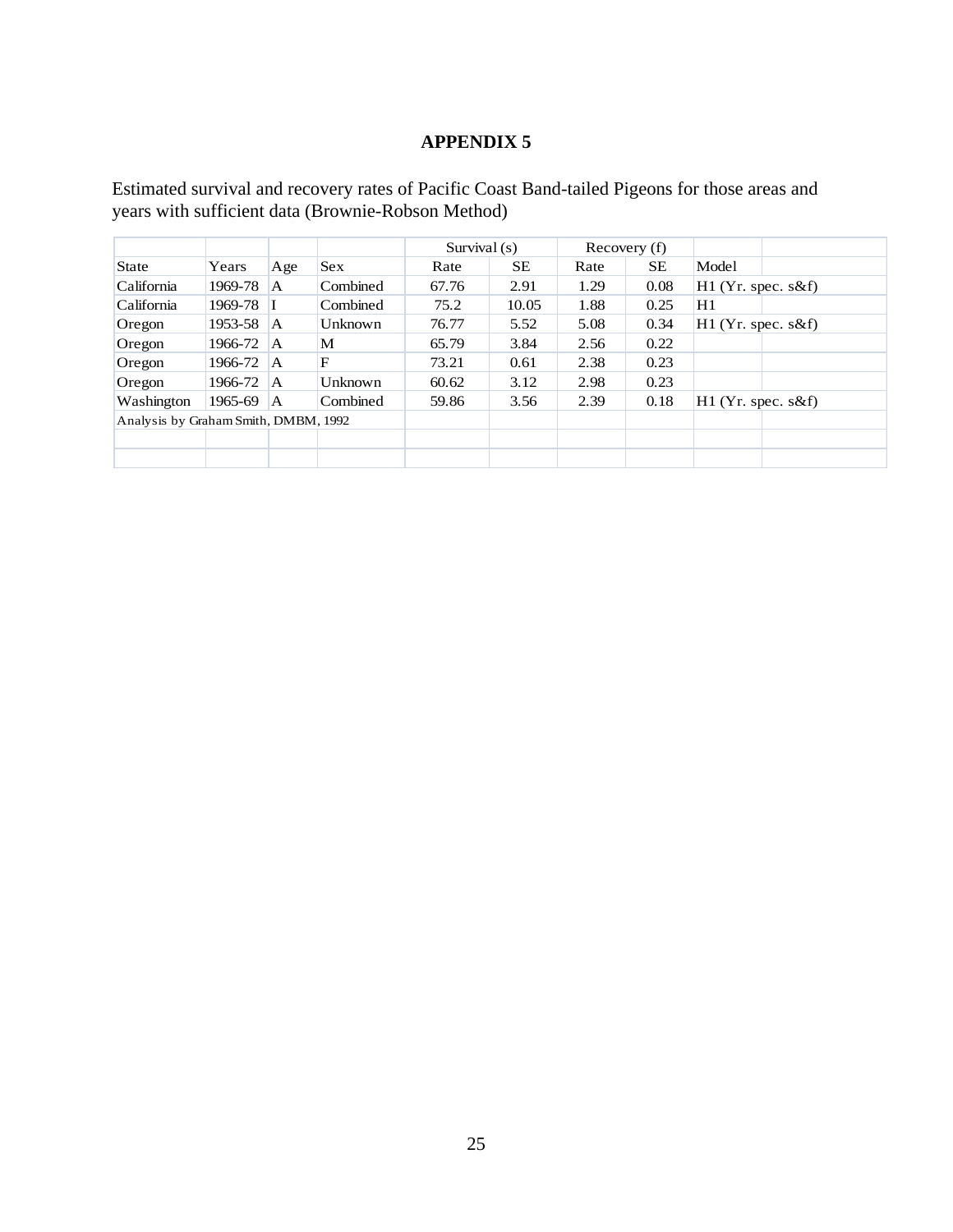Estimated survival and recovery rates of Pacific Coast Band-tailed Pigeons for those areas and years with sufficient data (Brownie-Robson Method)

|                                      |         |     |                |       | Survival $(s)$ |      | Recovery (f) |                      |  |
|--------------------------------------|---------|-----|----------------|-------|----------------|------|--------------|----------------------|--|
| <b>State</b>                         | Years   | Age | <b>Sex</b>     | Rate  | <b>SE</b>      | Rate | <b>SE</b>    | Model                |  |
| California                           | 1969-78 | A   | Combined       | 67.76 | 2.91           | 1.29 | 0.08         | $H1$ (Yr. spec. s&f) |  |
| California                           | 1969-78 |     | Combined       | 75.2  | 10.05          | 1.88 | 0.25         | H1                   |  |
| Oregon                               | 1953-58 | A   | Unknown        | 76.77 | 5.52           | 5.08 | 0.34         | $H1$ (Yr. spec. s&f) |  |
| Oregon                               | 1966-72 | ΙA. | M              | 65.79 | 3.84           | 2.56 | 0.22         |                      |  |
| Oregon                               | 1966-72 | ΙA. | F              | 73.21 | 0.61           | 2.38 | 0.23         |                      |  |
| Oregon                               | 1966-72 | ΙA. | <b>Unknown</b> | 60.62 | 3.12           | 2.98 | 0.23         |                      |  |
| Washington                           | 1965-69 | ΙA. | Combined       | 59.86 | 3.56           | 2.39 | 0.18         | $H1$ (Yr. spec. s&f) |  |
| Analysis by Graham Smith, DMBM, 1992 |         |     |                |       |                |      |              |                      |  |
|                                      |         |     |                |       |                |      |              |                      |  |
|                                      |         |     |                |       |                |      |              |                      |  |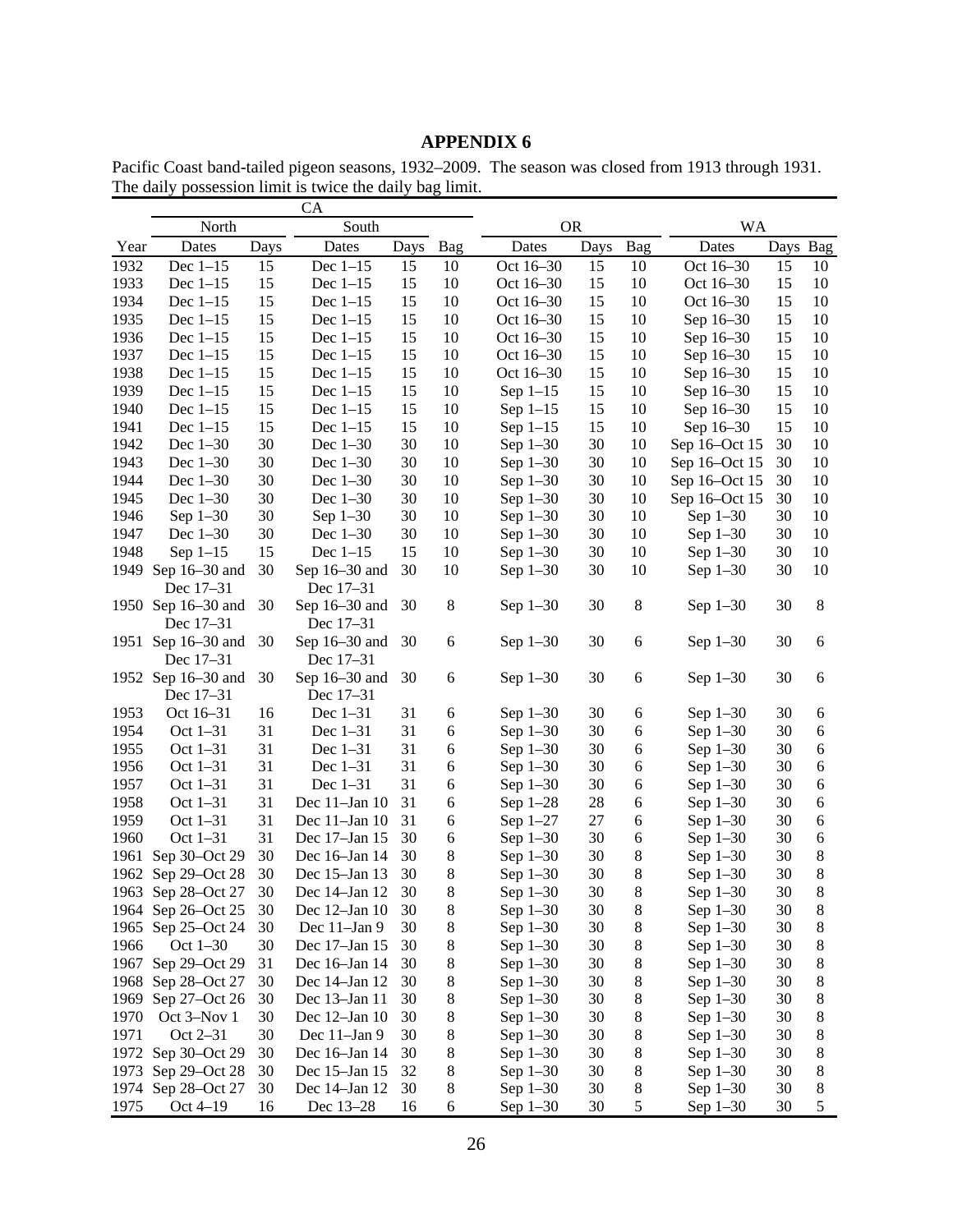Pacific Coast band-tailed pigeon seasons, 1932–2009. The season was closed from 1913 through 1931. The daily possession limit is twice the daily bag limit.

|      |                    |      | <b>CA</b>          |      |       |            |      |         |               |      |         |
|------|--------------------|------|--------------------|------|-------|------------|------|---------|---------------|------|---------|
|      | North              |      | South              |      |       | <b>OR</b>  |      |         | <b>WA</b>     |      |         |
| Year | Dates              | Days | Dates              | Days | Bag   | Dates      | Days | Bag     | Dates         | Days | Bag     |
| 1932 | Dec $1-15$         | 15   | Dec $1-15$         | 15   | 10    | Oct 16-30  | 15   | 10      | Oct 16-30     | 15   | 10      |
| 1933 | Dec $1-15$         | 15   | Dec $1-15$         | 15   | 10    | Oct 16-30  | 15   | 10      | Oct 16–30     | 15   | 10      |
| 1934 | Dec $1-15$         | 15   | Dec $1-15$         | 15   | 10    | Oct 16-30  | 15   | 10      | Oct 16-30     | 15   | 10      |
| 1935 | Dec $1-15$         | 15   | Dec $1-15$         | 15   | 10    | Oct 16-30  | 15   | 10      | Sep 16-30     | 15   | 10      |
| 1936 | Dec $1-15$         | 15   | Dec $1-15$         | 15   | 10    | Oct 16–30  | 15   | 10      | Sep 16-30     | 15   | 10      |
| 1937 | Dec $1-15$         | 15   | Dec $1-15$         | 15   | 10    | Oct 16-30  | 15   | 10      | Sep 16-30     | 15   | 10      |
| 1938 | Dec $1-15$         | 15   | Dec $1-15$         | 15   | 10    | Oct 16–30  | 15   | 10      | Sep 16-30     | 15   | 10      |
| 1939 | Dec $1-15$         | 15   | Dec $1-15$         | 15   | 10    | Sep $1-15$ | 15   | 10      | Sep 16-30     | 15   | 10      |
| 1940 | Dec $1-15$         | 15   | Dec $1-15$         | 15   | 10    | Sep $1-15$ | 15   | 10      | Sep 16-30     | 15   | 10      |
| 1941 | Dec $1-15$         | 15   | Dec $1-15$         | 15   | 10    | Sep $1-15$ | 15   | 10      | Sep 16-30     | 15   | 10      |
| 1942 | Dec $1-30$         | 30   | Dec $1-30$         | 30   | 10    | Sep $1-30$ | 30   | 10      | Sep 16-Oct 15 | 30   | 10      |
| 1943 | Dec $1-30$         | 30   | Dec $1-30$         | 30   | 10    | Sep $1-30$ | 30   | 10      | Sep 16-Oct 15 | 30   | 10      |
| 1944 | Dec 1-30           | 30   | Dec $1-30$         | 30   | 10    | Sep $1-30$ | 30   | 10      | Sep 16-Oct 15 | 30   | 10      |
| 1945 | Dec $1-30$         | 30   | Dec $1-30$         | 30   | 10    | Sep $1-30$ | 30   | 10      | Sep 16-Oct 15 | 30   | 10      |
| 1946 | Sep $1-30$         | 30   | Sep $1-30$         | 30   | 10    | Sep $1-30$ | 30   | 10      | Sep $1-30$    | 30   | 10      |
| 1947 | Dec 1-30           | 30   | Dec $1-30$         | 30   | 10    | Sep $1-30$ | 30   | 10      | Sep 1-30      | 30   | 10      |
| 1948 | Sep $1-15$         | 15   | Dec $1-15$         | 15   | 10    | Sep $1-30$ | 30   | 10      | Sep 1-30      | 30   | 10      |
| 1949 | Sep $16-30$ and    | 30   | Sep 16-30 and      | 30   | 10    | Sep $1-30$ | 30   | 10      | Sep 1-30      | 30   | 10      |
|      | Dec 17–31          |      | Dec 17–31          |      |       |            |      |         |               |      |         |
|      | 1950 Sep 16–30 and | 30   | Sep $16-30$ and    | 30   | $8\,$ | Sep 1-30   | 30   | 8       | Sep $1-30$    | 30   | $\,8\,$ |
|      | Dec 17–31          |      | Dec 17–31          |      |       |            |      |         |               |      |         |
|      | 1951 Sep 16–30 and | 30   | Sep 16-30 and      | 30   | 6     | Sep 1-30   | 30   | 6       | Sep $1-30$    | 30   | 6       |
|      | Dec 17–31          |      | Dec 17–31          |      |       |            |      |         |               |      |         |
|      | 1952 Sep 16-30 and | 30   | Sep 16-30 and      | 30   | 6     | Sep 1-30   | 30   | 6       | Sep $1-30$    | 30   | 6       |
|      | Dec 17-31          |      | Dec 17-31          |      |       |            |      |         |               |      |         |
| 1953 | Oct 16-31          | 16   | Dec $1-31$         | 31   | 6     | Sep $1-30$ | 30   | 6       | Sep $1-30$    | 30   | 6       |
| 1954 | Oct 1-31           | 31   | Dec $1-31$         | 31   | 6     | Sep 1-30   | 30   | 6       | Sep 1-30      | 30   | 6       |
| 1955 | Oct 1-31           | 31   | Dec $1-31$         | 31   | 6     | Sep 1-30   | 30   | 6       | Sep 1-30      | 30   | 6       |
| 1956 | Oct $1-31$         | 31   | Dec $1-31$         | 31   | 6     | Sep 1-30   | 30   | 6       | Sep 1-30      | 30   | 6       |
| 1957 | Oct $1-31$         | 31   | Dec $1-31$         | 31   | 6     | Sep $1-30$ | 30   | 6       | Sep 1-30      | 30   | 6       |
| 1958 | Oct $1-31$         | 31   | Dec 11-Jan 10      | 31   | 6     | Sep $1-28$ | 28   | 6       | Sep $1-30$    | 30   | 6       |
| 1959 | Oct $1-31$         | 31   | Dec $11$ -Jan $10$ | 31   | 6     | Sep $1-27$ | 27   | 6       | Sep $1-30$    | 30   | 6       |
| 1960 | Oct $1-31$         | 31   | Dec 17-Jan 15      | 30   | 6     | Sep $1-30$ | 30   | 6       | Sep $1-30$    | 30   | 6       |
| 1961 | Sep 30-Oct 29      | 30   | Dec 16-Jan 14      | 30   | 8     | Sep $1-30$ | 30   | 8       | Sep $1-30$    | 30   | 8       |
| 1962 | Sep 29-Oct 28      | 30   | Dec 15-Jan 13      | 30   | 8     | Sep 1-30   | 30   | 8       | Sep $1-30$    | 30   | 8       |
| 1963 | Sep 28-Oct 27      | 30   | Dec 14-Jan 12      | 30   | 8     | Sep $1-30$ | 30   | 8       | Sep $1-30$    | 30   | 8       |
|      | 1964 Sep 26-Oct 25 | 30   | Dec 12-Jan 10      | 30   | 8     | Sep 1-30   | 30   | 8       | Sep $1-30$    | 30   | 8       |
|      | 1965 Sep 25-Oct 24 | 30   | Dec 11-Jan 9       | 30   | 8     | Sep 1-30   | 30   | 8       | Sep 1-30      | 30   | 8       |
| 1966 | Oct 1-30           | 30   | Dec 17-Jan 15      | 30   | 8     | Sep 1-30   | 30   | $\,8\,$ | Sep 1-30      | 30   | 8       |
| 1967 | Sep 29-Oct 29      | 31   | Dec 16-Jan 14      | 30   | 8     | Sep 1-30   | 30   | 8       | Sep $1-30$    | 30   | 8       |
| 1968 | Sep 28-Oct 27      | 30   | Dec 14-Jan 12      | 30   | 8     | Sep 1-30   | 30   | 8       | Sep 1-30      | 30   | 8       |
| 1969 | Sep 27-Oct 26      | 30   | Dec 13-Jan 11      | 30   | 8     | Sep $1-30$ | 30   | 8       | Sep 1-30      | 30   | 8       |
| 1970 | Oct 3-Nov 1        | 30   | Dec 12-Jan 10      | 30   | 8     | Sep 1-30   | 30   | 8       | Sep $1-30$    | 30   | 8       |
| 1971 | Oct 2–31           | 30   | Dec 11-Jan 9       | 30   | 8     | Sep 1-30   | 30   | 8       | Sep $1-30$    | 30   | 8       |
| 1972 | Sep 30-Oct 29      | 30   | Dec 16-Jan 14      | 30   | 8     | Sep 1-30   | 30   | 8       | Sep $1-30$    | 30   | 8       |
| 1973 | Sep 29-Oct 28      | 30   | Dec 15-Jan 15      | 32   | 8     | Sep $1-30$ | 30   | 8       | Sep $1-30$    | 30   | 8       |
|      | 1974 Sep 28-Oct 27 | 30   | Dec 14-Jan 12      | 30   | 8     | Sep $1-30$ | 30   | 8       | Sep $1-30$    | 30   | 8       |
| 1975 | Oct 4-19           | 16   | Dec 13-28          | 16   | 6     | Sep $1-30$ | 30   | 5       | Sep $1-30$    | 30   | 5       |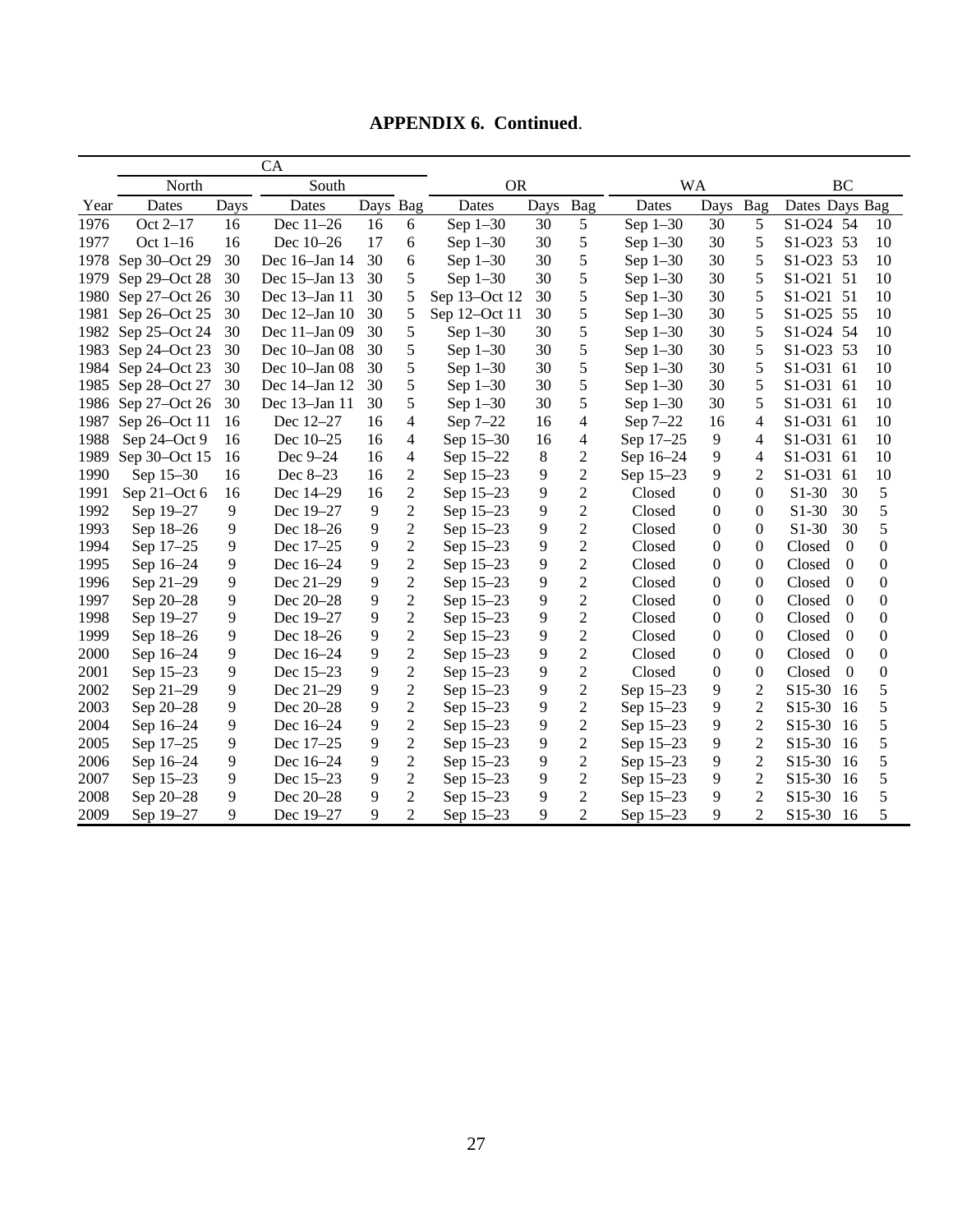|      | North         |      | South              |          |                | <b>OR</b>     |      |                | <b>WA</b>   |                |                | BC                         |                  |  |
|------|---------------|------|--------------------|----------|----------------|---------------|------|----------------|-------------|----------------|----------------|----------------------------|------------------|--|
| Year | Dates         | Days | Dates              | Days Bag |                | Dates         | Days | Bag            | Dates       | Days           | Bag            | Dates Days Bag             |                  |  |
| 1976 | Oct 2-17      | 16   | Dec 11-26          | 16       | 6              | Sep $1-30$    | 30   | 5              | Sep $1-30$  | 30             | 5              | S1-O24 54                  | 10               |  |
| 1977 | Oct $1-16$    | 16   | Dec 10-26          | 17       | 6              | Sep $1-30$    | 30   | $\mathfrak s$  | Sep $1-30$  | 30             | 5              | S1-O23 53                  | 10               |  |
| 1978 | Sep 30-Oct 29 | 30   | Dec 16-Jan 14      | 30       | 6              | Sep $1-30$    | 30   | 5              | Sep $1-30$  | 30             | 5              | S1-O23 53                  | 10               |  |
| 1979 | Sep 29-Oct 28 | 30   | Dec 15-Jan 13      | 30       | 5              | Sep $1-30$    | 30   | 5              | Sep $1-30$  | 30             | 5              | S1-O21 51                  | 10               |  |
| 1980 | Sep 27-Oct 26 | 30   | Dec 13-Jan 11      | 30       | 5              | Sep 13-Oct 12 | 30   | 5              | Sep $1-30$  | 30             | 5              | S1-O21 51                  | 10               |  |
| 1981 | Sep 26-Oct 25 | 30   | Dec $12$ -Jan $10$ | 30       | 5              | Sep 12-Oct 11 | 30   | 5              | Sep $1-30$  | 30             | 5              | S1-O25 55                  | 10               |  |
| 1982 | Sep 25-Oct 24 | 30   | Dec 11-Jan 09      | 30       | 5              | Sep $1-30$    | 30   | 5              | Sep $1-30$  | 30             | 5              | S1-O24 54                  | 10               |  |
| 1983 | Sep 24-Oct 23 | 30   | Dec 10-Jan 08      | 30       | 5              | Sep $1-30$    | 30   | 5              | Sep $1-30$  | 30             | 5              | S1-O23 53                  | 10               |  |
| 1984 | Sep 24-Oct 23 | 30   | Dec 10-Jan 08      | 30       | 5              | Sep $1-30$    | 30   | 5              | Sep $1-30$  | 30             | 5              | S1-O31 61                  | 10               |  |
| 1985 | Sep 28-Oct 27 | 30   | Dec 14-Jan 12      | 30       | 5              | Sep $1-30$    | 30   | 5              | Sep $1-30$  | 30             | 5              | S1-O31 61                  | 10               |  |
| 1986 | Sep 27-Oct 26 | 30   | Dec 13-Jan 11      | 30       | 5              | Sep $1-30$    | 30   | 5              | Sep $1-30$  | 30             | 5              | S1-O31 61                  | 10               |  |
| 1987 | Sep 26-Oct 11 | 16   | Dec 12-27          | 16       | 4              | Sep 7-22      | 16   | $\overline{4}$ | Sep 7-22    | 16             | 4              | S1-O31<br>61               | 10               |  |
| 1988 | Sep 24-Oct 9  | 16   | Dec 10-25          | 16       | 4              | Sep 15-30     | 16   | 4              | Sep 17-25   | 9              | 4              | S1-O31<br>61               | 10               |  |
| 1989 | Sep 30-Oct 15 | 16   | Dec 9-24           | 16       | $\overline{4}$ | Sep 15-22     | 8    | $\sqrt{2}$     | Sep 16-24   | 9              | $\overline{4}$ | S1-O31<br>61               | 10               |  |
| 1990 | Sep 15-30     | 16   | Dec 8-23           | 16       | $\overline{2}$ | Sep 15-23     | 9    | $\overline{2}$ | Sep 15-23   | 9              | $\overline{2}$ | S1-O31<br>61               | 10               |  |
| 1991 | Sep 21-Oct 6  | 16   | Dec 14-29          | 16       | $\overline{c}$ | Sep 15-23     | 9    | $\sqrt{2}$     | Closed      | $\mathbf{0}$   | $\theta$       | $S1-30$<br>30              | 5                |  |
| 1992 | Sep 19-27     | 9    | Dec 19-27          | 9        | $\overline{2}$ | Sep 15-23     | 9    | $\sqrt{2}$     | Closed      | $\mathbf{0}$   | $\mathbf{0}$   | $S1-30$<br>30              | 5                |  |
| 1993 | Sep 18-26     | 9    | Dec 18-26          | 9        | $\overline{c}$ | Sep 15-23     | 9    | $\overline{2}$ | Closed      | $\mathbf{0}$   | 0              | 30<br>$S1-30$              | 5                |  |
| 1994 | Sep 17-25     | 9    | Dec 17-25          | 9        | $\overline{c}$ | Sep 15-23     | 9    | $\sqrt{2}$     | Closed      | $\overline{0}$ | $\theta$       | Closed<br>$\boldsymbol{0}$ | $\boldsymbol{0}$ |  |
| 1995 | Sep 16-24     | 9    | Dec 16-24          | 9        | $\overline{2}$ | Sep 15-23     | 9    | $\overline{2}$ | Closed      | $\mathbf{0}$   | $\theta$       | Closed<br>$\Omega$         | $\boldsymbol{0}$ |  |
| 1996 | Sep 21-29     | 9    | Dec 21-29          | 9        | $\overline{c}$ | Sep 15-23     | 9    | $\overline{2}$ | Closed      | $\mathbf{0}$   | $\overline{0}$ | Closed<br>$\theta$         | 0                |  |
| 1997 | Sep 20-28     | 9    | Dec 20-28          | 9        | $\overline{c}$ | Sep 15-23     | 9    | $\sqrt{2}$     | Closed      | $\mathbf{0}$   | 0              | Closed<br>$\theta$         | 0                |  |
| 1998 | Sep 19-27     | 9    | Dec 19-27          | 9        | $\overline{c}$ | Sep 15-23     | 9    | $\sqrt{2}$     | Closed      | $\mathbf{0}$   | 0              | Closed<br>$\theta$         | 0                |  |
| 1999 | Sep 18-26     | 9    | Dec 18-26          | 9        | $\overline{c}$ | Sep 15-23     | 9    | $\sqrt{2}$     | Closed      | $\overline{0}$ | 0              | Closed<br>$\mathbf{0}$     | $\boldsymbol{0}$ |  |
| 2000 | Sep 16-24     | 9    | Dec 16-24          | 9        | $\overline{2}$ | Sep 15-23     | 9    | $\overline{2}$ | Closed      | $\mathbf{0}$   | $\overline{0}$ | Closed<br>$\Omega$         | 0                |  |
| 2001 | Sep 15-23     | 9    | Dec 15–23          | 9        | $\overline{c}$ | Sep 15-23     | 9    | $\sqrt{2}$     | Closed      | $\mathbf{0}$   | $\overline{0}$ | Closed<br>$\Omega$         | 0                |  |
| 2002 | Sep 21-29     | 9    | Dec 21-29          | 9        | $\overline{c}$ | Sep 15-23     | 9    | $\sqrt{2}$     | Sep 15-23   | 9              | $\overline{c}$ | S15-30<br>16               | 5                |  |
| 2003 | Sep 20-28     | 9    | Dec 20-28          | 9        | $\overline{c}$ | Sep 15-23     | 9    | $\overline{2}$ | Sep 15-23   | $\overline{9}$ | $\overline{c}$ | S15-30<br>16               | 5                |  |
| 2004 | Sep 16-24     | 9    | Dec 16-24          | 9        | $\overline{c}$ | Sep 15-23     | 9    | $\overline{2}$ | Sep 15-23   | $\overline{9}$ | $\overline{2}$ | S15-30<br>16               | 5                |  |
| 2005 | Sep 17-25     | 9    | Dec 17-25          | 9        | $\overline{2}$ | Sep 15-23     | 9    | $\overline{2}$ | Sep 15-23   | $\overline{9}$ | $\overline{2}$ | S15-30<br>16               | 5                |  |
| 2006 | Sep 16-24     | 9    | Dec 16-24          | 9        | $\overline{c}$ | Sep 15-23     | 9    | $\overline{2}$ | Sep 15-23   | $\overline{9}$ | $\overline{2}$ | S15-30<br>16               | 5                |  |
| 2007 | Sep 15-23     | 9    | Dec 15–23          | 9        | $\overline{c}$ | Sep 15-23     | 9    | $\overline{2}$ | Sep 15-23   | $\overline{9}$ | $\overline{2}$ | S15-30<br>16               | 5                |  |
| 2008 | Sep 20-28     | 9    | Dec 20-28          | 9        | $\overline{2}$ | Sep 15-23     | 9    | $\overline{2}$ | Sep $15-23$ | $\overline{9}$ | $\overline{2}$ | S <sub>15</sub> -30<br>16  | 5                |  |
| 2009 | Sep 19-27     | 9    | Dec 19-27          | 9        | $\overline{2}$ | Sep 15-23     | 9    | $\overline{2}$ | Sep 15-23   | 9              | $\overline{2}$ | S <sub>15</sub> -30<br>-16 | 5                |  |

**APPENDIX 6. Continued**.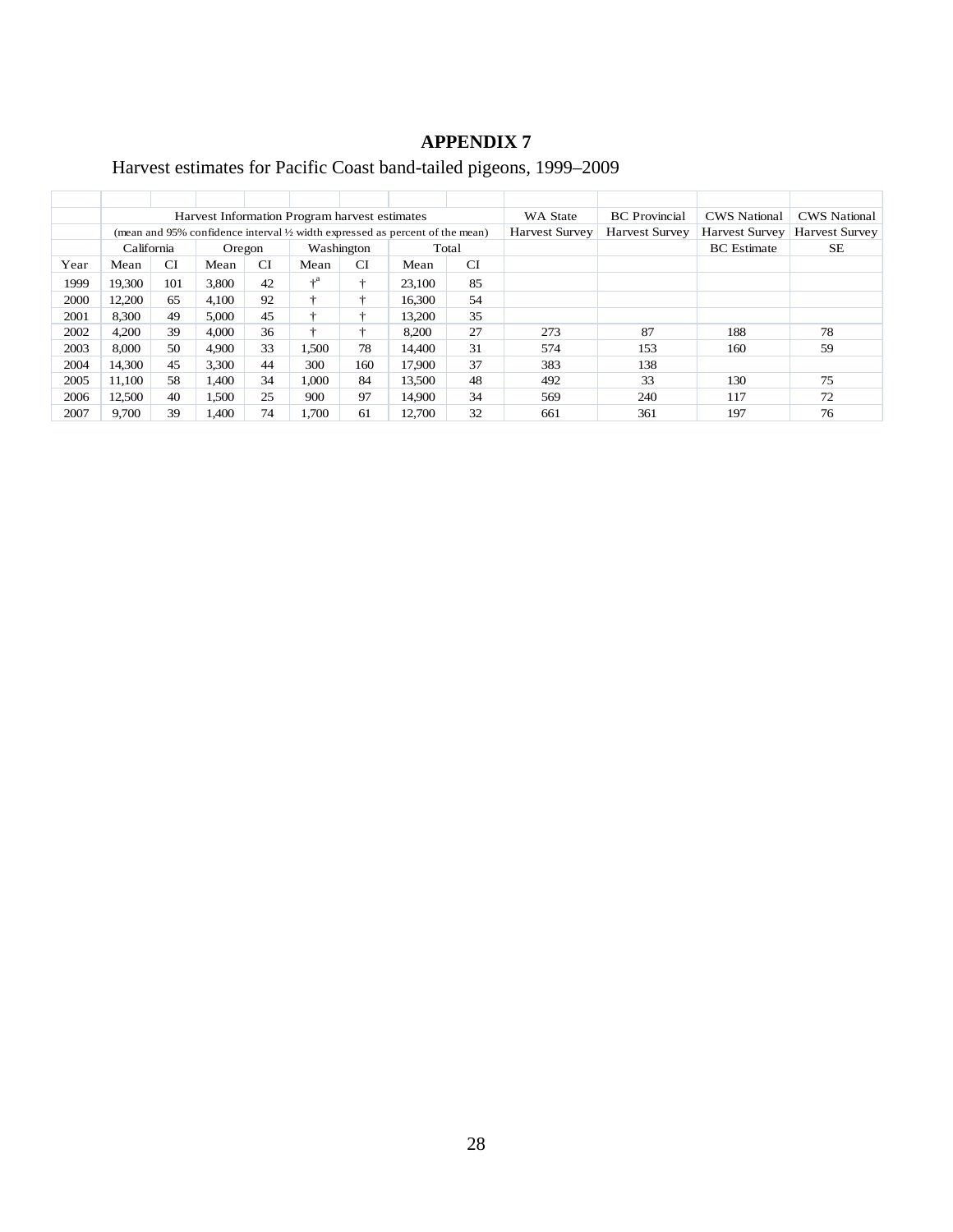# Harvest estimates for Pacific Coast band-tailed pigeons, 1999–2009

|      |            |     |        |    | Harvest Information Program harvest estimates |     |                                                                                         | WA State              | <b>BC</b> Provincial  | <b>CWS</b> National   | <b>CWS</b> National   |           |
|------|------------|-----|--------|----|-----------------------------------------------|-----|-----------------------------------------------------------------------------------------|-----------------------|-----------------------|-----------------------|-----------------------|-----------|
|      |            |     |        |    |                                               |     | (mean and 95% confidence interval $\frac{1}{2}$ width expressed as percent of the mean) | <b>Harvest Survey</b> | <b>Harvest Survey</b> | <b>Harvest Survey</b> | <b>Harvest Survey</b> |           |
|      | California |     | Oregon |    | Washington                                    |     | Total                                                                                   |                       |                       |                       | <b>BC</b> Estimate    | <b>SE</b> |
| Year | Mean       | CI  | Mean   | СI | Mean                                          | CI  | Mean                                                                                    | CI                    |                       |                       |                       |           |
| 1999 | 19.300     | 101 | 3.800  | 42 | $+^a$                                         | ÷   | 23,100                                                                                  | 85                    |                       |                       |                       |           |
| 2000 | 12,200     | 65  | 4,100  | 92 |                                               | ÷   | 16,300                                                                                  | 54                    |                       |                       |                       |           |
| 2001 | 8,300      | 49  | 5.000  | 45 | ÷                                             | ÷   | 13,200                                                                                  | 35                    |                       |                       |                       |           |
| 2002 | 4,200      | 39  | 4.000  | 36 | ÷                                             | ÷   | 8,200                                                                                   | 27                    | 273                   | 87                    | 188                   | 78        |
| 2003 | 8,000      | 50  | 4.900  | 33 | 1.500                                         | 78  | 14.400                                                                                  | 31                    | 574                   | 153                   | 160                   | 59        |
| 2004 | 14.300     | 45  | 3.300  | 44 | 300                                           | 160 | 17.900                                                                                  | 37                    | 383                   | 138                   |                       |           |
| 2005 | 11,100     | 58  | 1.400  | 34 | 1.000                                         | 84  | 13,500                                                                                  | 48                    | 492                   | 33                    | 130                   | 75        |
| 2006 | 12,500     | 40  | 1,500  | 25 | 900                                           | 97  | 14.900                                                                                  | 34                    | 569                   | 240                   | 117                   | 72        |
| 2007 | 9.700      | 39  | 1.400  | 74 | 1.700                                         | 61  | 12.700                                                                                  | 32                    | 661                   | 361                   | 197                   | 76        |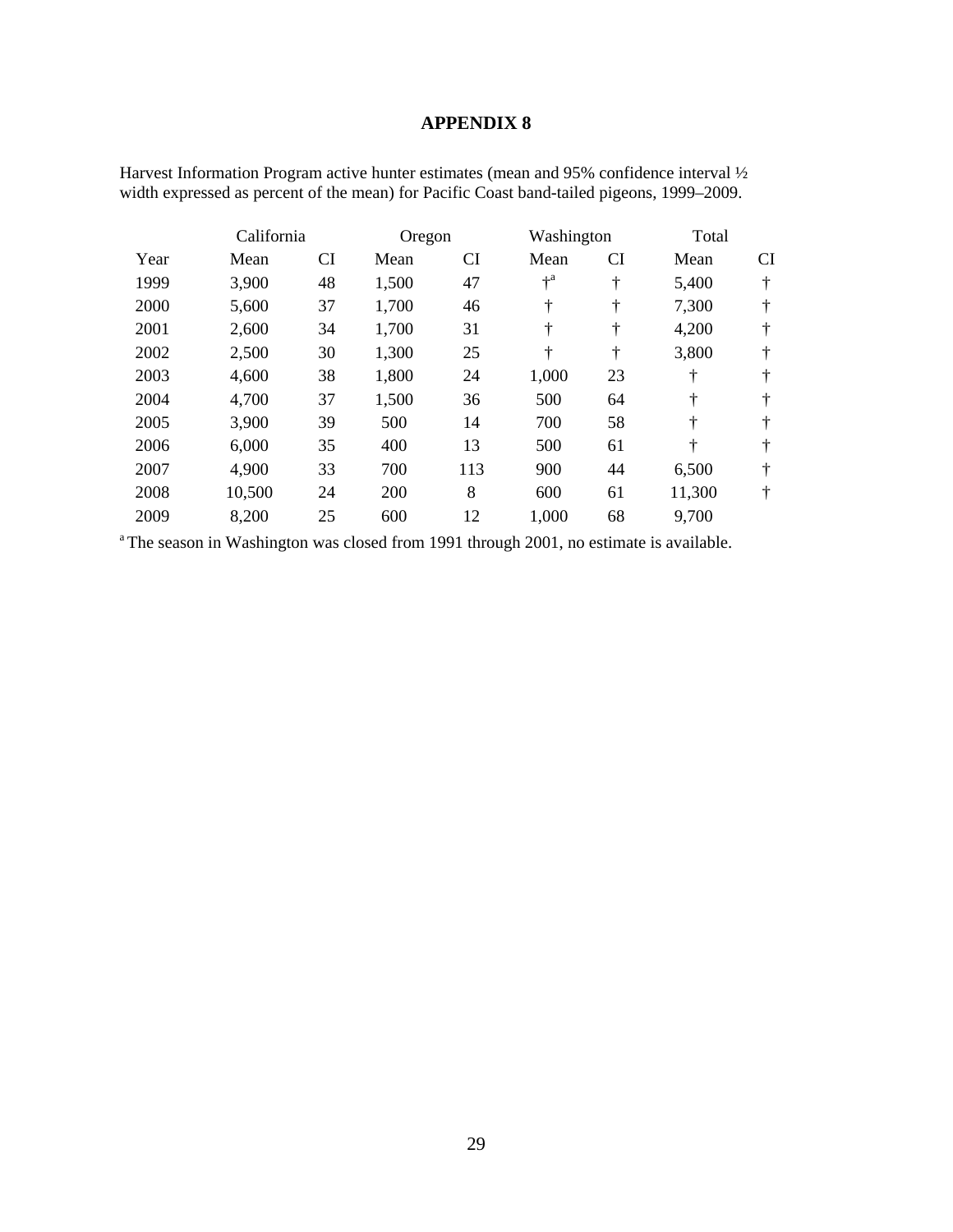|      | California |    | Oregon |     | Washington |    | Total  |    |
|------|------------|----|--------|-----|------------|----|--------|----|
| Year | Mean       | CI | Mean   | CI  | Mean       | CI | Mean   | CI |
| 1999 | 3,900      | 48 | 1,500  | 47  | $+^a$      | ÷  | 5,400  | ÷  |
| 2000 | 5,600      | 37 | 1,700  | 46  | ÷          | ÷  | 7,300  | ÷  |
| 2001 | 2,600      | 34 | 1,700  | 31  | ÷          | ÷  | 4,200  | ÷  |
| 2002 | 2,500      | 30 | 1,300  | 25  | ÷          | ÷  | 3,800  | ÷  |
| 2003 | 4,600      | 38 | 1,800  | 24  | 1,000      | 23 | ÷      | ÷  |
| 2004 | 4,700      | 37 | 1,500  | 36  | 500        | 64 | ÷      | ÷  |
| 2005 | 3,900      | 39 | 500    | 14  | 700        | 58 | ÷      | ÷  |
| 2006 | 6,000      | 35 | 400    | 13  | 500        | 61 | ÷      | ÷  |
| 2007 | 4,900      | 33 | 700    | 113 | 900        | 44 | 6,500  | ÷  |
| 2008 | 10,500     | 24 | 200    | 8   | 600        | 61 | 11,300 | ÷  |
| 2009 | 8,200      | 25 | 600    | 12  | 1,000      | 68 | 9,700  |    |

Harvest Information Program active hunter estimates (mean and 95% confidence interval ½ width expressed as percent of the mean) for Pacific Coast band-tailed pigeons, 1999–2009.

<sup>a</sup> The season in Washington was closed from 1991 through 2001, no estimate is available.